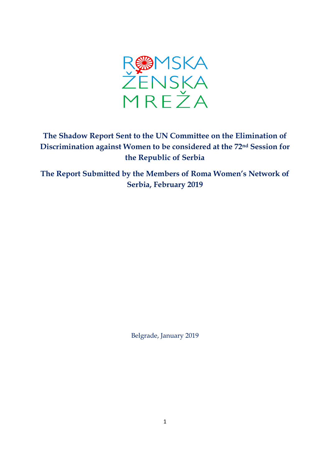

# **The Shadow Report Sent to the UN Committee on the Elimination of Discrimination against Women to be considered at the 72nd Session for the Republic of Serbia**

**The Report Submitted by the Members of Roma Women's Network of Serbia, February 2019**

Belgrade, January 2019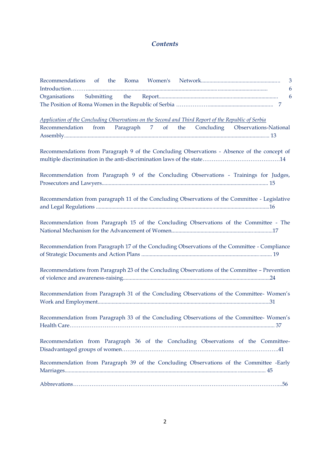# *Contents*

| 3                                                                                                   |
|-----------------------------------------------------------------------------------------------------|
| 6                                                                                                   |
| 6<br>Organisations                                                                                  |
|                                                                                                     |
|                                                                                                     |
| Application of the Concluding Observations on the Second and Third Report of the Republic of Serbia |
| Recommendation from Paragraph 7 of the Concluding Observations-National                             |
|                                                                                                     |
|                                                                                                     |
| Recommendations from Paragraph 9 of the Concluding Observations - Absence of the concept of         |
|                                                                                                     |
|                                                                                                     |
| Recommendation from Paragraph 9 of the Concluding Observations - Trainings for Judges,              |
|                                                                                                     |
|                                                                                                     |
| Recommendation from paragraph 11 of the Concluding Observations of the Committee - Legislative      |
|                                                                                                     |
|                                                                                                     |
| Recommendation from Paragraph 15 of the Concluding Observations of the Committee - The              |
|                                                                                                     |
|                                                                                                     |
| Recommendation from Paragraph 17 of the Concluding Observations of the Committee - Compliance       |
|                                                                                                     |
|                                                                                                     |
| Recommendations from Paragraph 23 of the Concluding Observations of the Committee - Prevention      |
|                                                                                                     |
|                                                                                                     |
| Recommendation from Paragraph 31 of the Concluding Observations of the Committee- Women's           |
|                                                                                                     |
|                                                                                                     |
| Recommendation from Paragraph 33 of the Concluding Observations of the Committee-Women's            |
| 37                                                                                                  |
|                                                                                                     |
| Recommendation from Paragraph 36 of the Concluding Observations of the Committee-                   |
|                                                                                                     |
|                                                                                                     |
| Recommendation from Paragraph 39 of the Concluding Observations of the Committee -Early             |
|                                                                                                     |
|                                                                                                     |
|                                                                                                     |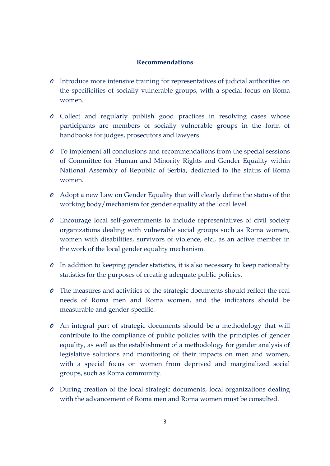### **Recommendations**

- *O* Introduce more intensive training for representatives of judicial authorities on the specificities of socially vulnerable groups, with a special focus on Roma women.
- *O* Collect and regularly publish good practices in resolving cases whose participants are members of socially vulnerable groups in the form of handbooks for judges, prosecutors and lawyers.
- *O* To implement all conclusions and recommendations from the special sessions of Committee for Human and Minority Rights and Gender Equality within National Assembly of Republic of Serbia, dedicated to the status of Roma women.
- *O* Adopt a new Law on Gender Equality that will clearly define the status of the working body/mechanism for gender equality at the local level.
- *O* Encourage local self-governments to include representatives of civil society organizations dealing with vulnerable social groups such as Roma women, women with disabilities, survivors of violence, etc., as an active member in the work of the local gender equality mechanism.
- *O* In addition to keeping gender statistics, it is also necessary to keep nationality statistics for the purposes of creating adequate public policies.
- *O* The measures and activities of the strategic documents should reflect the real needs of Roma men and Roma women, and the indicators should be measurable and gender-specific.
- *O* An integral part of strategic documents should be a methodology that will contribute to the compliance of public policies with the principles of gender equality, as well as the establishment of a methodology for gender analysis of legislative solutions and monitoring of their impacts on men and women, with a special focus on women from deprived and marginalized social groups, such as Roma community.
- *O* During creation of the local strategic documents, local organizations dealing with the advancement of Roma men and Roma women must be consulted.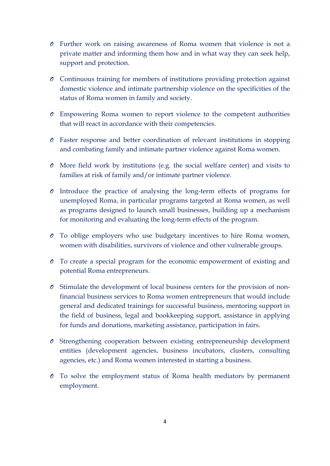- *O* Further work on raising awareness of Roma women that violence is not a private matter and informing them how and in what way they can seek help, support and protection.
- *O* Continuous training for members of institutions providing protection against domestic violence and intimate partnership violence on the specificities of the status of Roma women in family and society.
- *O* Empowering Roma women to report violence to the competent authorities that will react in accordance with their competencies.
- *O* Faster response and better coordination of relevant institutions in stopping and combating family and intimate partner violence against Roma women.
- *O* More field work by institutions (e.g. the social welfare center) and visits to families at risk of family and/or intimate partner violence.
- *O* Introduce the practice of analysing the long-term effects of programs for unemployed Roma, in particular programs targeted at Roma women, as well as programs designed to launch small businesses, building up a mechanism for monitoring and evaluating the long-term effects of the program.
- *O* To oblige employers who use budgetary incentives to hire Roma women, women with disabilities, survivors of violence and other vulnerable groups.
- *O* To create a special program for the economic empowerment of existing and potential Roma entrepreneurs.
- *O* Stimulate the development of local business centers for the provision of nonfinancial business services to Roma women entrepreneurs that would include general and dedicated trainings for successful business, mentoring support in the field of business, legal and bookkeeping support, assistance in applying for funds and donations, marketing assistance, participation in fairs.
- *O* Strengthening cooperation between existing entrepreneurship development entities (development agencies, business incubators, clusters, consulting agencies, etc.) and Roma women interested in starting a business.
- *O* To solve the employment status of Roma health mediators by permanent employment.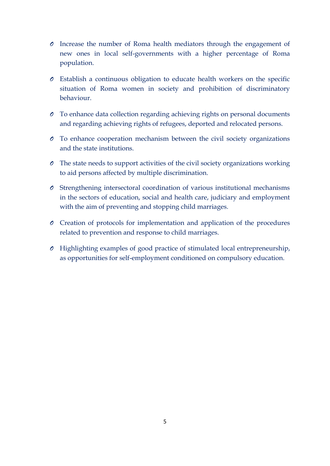- *O* Increase the number of Roma health mediators through the engagement of new ones in local self-governments with a higher percentage of Roma population.
- *O* Establish a continuous obligation to educate health workers on the specific situation of Roma women in society and prohibition of discriminatory behaviour.
- *O* To enhance data collection regarding achieving rights on personal documents and regarding achieving rights of refugees, deported and relocated persons.
- *O* To enhance cooperation mechanism between the civil society organizations and the state institutions.
- *O* The state needs to support activities of the civil society organizations working to aid persons affected by multiple discrimination.
- *O* Strengthening intersectoral coordination of various institutional mechanisms in the sectors of education, social and health care, judiciary and employment with the aim of preventing and stopping child marriages.
- *O* Creation of protocols for implementation and application of the procedures related to prevention and response to child marriages.
- *O* Highlighting examples of good practice of stimulated local entrepreneurship, as opportunities for self-employment conditioned on compulsory education.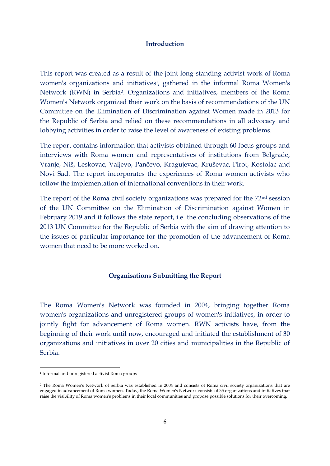#### **Introduction**

This report was created as a result of the joint long-standing activist work of Roma women's organizations and initiatives<sup>1</sup>, gathered in the informal Roma Women's Network (RWN) in Serbia2. Organizations and initiatives, members of the Roma Women's Network organized their work on the basis of recommendations of the UN Committee on the Elimination of Discrimination against Women made in 2013 for the Republic of Serbia and relied on these recommendations in all advocacy and lobbying activities in order to raise the level of awareness of existing problems.

The report contains information that activists obtained through 60 focus groups and interviews with Roma women and representatives of institutions from Belgrade, Vranje, Niš, Leskovac, Valjevo, Pančevo, Kragujevac, Kruševac, Pirot, Kostolac and Novi Sad. The report incorporates the experiences of Roma women activists who follow the implementation of international conventions in their work.

The report of the Roma civil society organizations was prepared for the 72nd session of the UN Committee on the Elimination of Discrimination against Women in February 2019 and it follows the state report, i.e. the concluding observations of the 2013 UN Committee for the Republic of Serbia with the aim of drawing attention to the issues of particular importance for the promotion of the advancement of Roma women that need to be more worked on.

#### **Organisations Submitting the Report**

The Roma Women's Network was founded in 2004, bringing together Roma women's organizations and unregistered groups of women's initiatives, in order to jointly fight for advancement of Roma women. RWN activists have, from the beginning of their work until now, encouraged and initiated the establishment of 30 organizations and initiatives in over 20 cities and municipalities in the Republic of Serbia.

**.** 

<sup>1</sup> Informal and unregistered activist Roma groups

<sup>2</sup> The Roma Women's Network of Serbia was established in 2004 and consists of Roma civil society organizations that are engaged in advancement of Roma women. Today, the Roma Women's Network consists of 35 organizations and initiatives that raise the visibility of Roma women's problems in their local communities and propose possible solutions for their overcoming.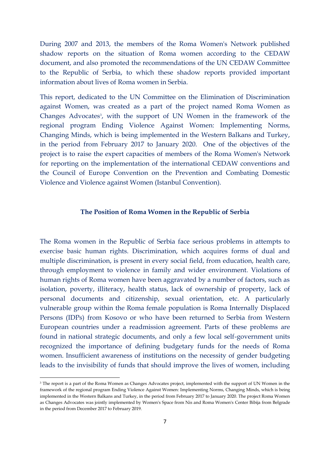During 2007 and 2013, the members of the Roma Women's Network published shadow reports on the situation of Roma women according to the CEDAW document, and also promoted the recommendations of the UN CEDAW Committee to the Republic of Serbia, to which these shadow reports provided important information about lives of Roma women in Serbia.

This report, dedicated to the UN Committee on the Elimination of Discrimination against Women, was created as a part of the project named Roma Women as Changes Advocates<sup>3</sup>, with the support of UN Women in the framework of the regional program Ending Violence Against Women: Implementing Norms, Changing Minds, which is being implemented in the Western Balkans and Turkey, in the period from February 2017 to January 2020. One of the objectives of the project is to raise the expert capacities of members of the Roma Women's Network for reporting on the implementation of the international CEDAW conventions and the Council of Europe Convention on the Prevention and Combating Domestic Violence and Violence against Women (Istanbul Convention).

#### **The Position of Roma Women in the Republic of Serbia**

The Roma women in the Republic of Serbia face serious problems in attempts to exercise basic human rights. Discrimination, which acquires forms of dual and multiple discrimination, is present in every social field, from education, health care, through employment to violence in family and wider environment. Violations of human rights of Roma women have been aggravated by a number of factors, such as isolation, poverty, illiteracy, health status, lack of ownership of property, lack of personal documents and citizenship, sexual orientation, etc. A particularly vulnerable group within the Roma female population is Roma Internally Displaced Persons (IDPs) from Kosovo or who have been returned to Serbia from Western European countries under a readmission agreement. Parts of these problems are found in national strategic documents, and only a few local self-government units recognized the importance of defining budgetary funds for the needs of Roma women. Insufficient awareness of institutions on the necessity of gender budgeting leads to the invisibility of funds that should improve the lives of women, including

1

<sup>&</sup>lt;sup>3</sup> The report is a part of the Roma Women as Changes Advocates project, implemented with the support of UN Women in the framework of the regional program Ending Violence Against Women: Implementing Norms, Changing Minds, which is being implemented in the Western Balkans and Turkey, in the period from February 2017 to January 2020. The project Roma Women as Changes Advocates was jointly implemented by Women's Space from Nis and Roma Women's Center Bibija from Belgrade in the period from December 2017 to February 2019.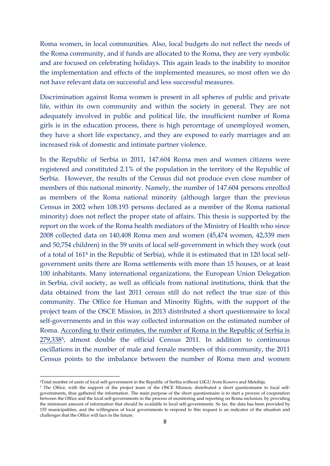Roma women, in local communities. Also, local budgets do not reflect the needs of the Roma community, and if funds are allocated to the Roma, they are very symbolic and are focused on celebrating holidays. This again leads to the inability to monitor the implementation and effects of the implemented measures, so most often we do not have relevant data on successful and less successful measures.

Discrimination against Roma women is present in all spheres of public and private life, within its own community and within the society in general. They are not adequately involved in public and political life, the insufficient number of Roma girls is in the education process, there is high percentage of unemployed women, they have a short life expectancy, and they are exposed to early marriages and an increased risk of domestic and intimate partner violence.

In the Republic of Serbia in 2011, 147.604 Roma men and women citizens were registered and constituted 2.1% of the population in the territory of the Republic of Serbia. However, the results of the Census did not produce even close number of members of this national minority. Namely, the number of 147.604 persons enrolled as members of the Roma national minority (although larger than the previous Census in 2002 when 108.193 persons declared as a member of the Roma national minority) does not reflect the proper state of affairs. This thesis is supported by the report on the work of the Roma health mediators of the Ministry of Health who since 2008 collected data on 140,408 Roma men and women (45,474 women, 42,339 men and 50,754 children) in the 59 units of local self-government in which they work (out of a total of 161<sup>4</sup> in the Republic of Serbia), while it is estimated that in 120 local selfgovernment units there are Roma settlements with more than 15 houses, or at least 100 inhabitants. Many international organizations, the European Union Delegation in Serbia, civil society, as well as officials from national institutions, think that the data obtained from the last 2011 census still do not reflect the true size of this community. The Office for Human and Minority Rights, with the support of the project team of the OSCE Mission, in 2013 distributed a short questionnaire to local self-governments and in this way collected information on the estimated number of Roma. According to their estimates, the number of Roma in the Republic of Serbia is 279,3385, almost double the official Census 2011. In addition to continuous oscillations in the number of male and female members of this community, the 2011 Census points to the imbalance between the number of Roma men and women

**.** 

<sup>4</sup>Total number of units of local self-government in the Republic of Serbia without LSGU from Kosovo and Metohija.

<sup>&</sup>lt;sup>5</sup> The Office, with the support of the project team of the OSCE Mission, distributed a short questionnaire to local selfgovernments, thus gathered the information. The main purpose of the short questionnaire is to start a process of cooperation between the Office and the local self-governments in the process of monitoring and reporting on Roma inclusion, by providing the minimum amount of information that should be available to local self-governments. So far, the data has been provided by 155 municipalities, and the willingness of local governments to respond to this request is an indicator of the situation and challenges that the Office will face in the future.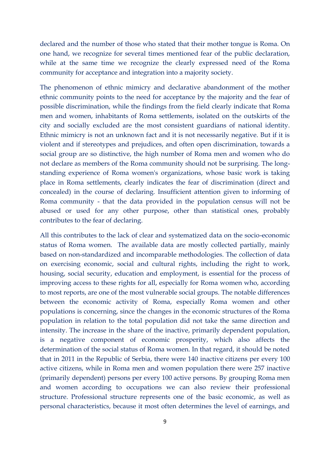declared and the number of those who stated that their mother tongue is Roma. On one hand, we recognize for several times mentioned fear of the public declaration, while at the same time we recognize the clearly expressed need of the Roma community for acceptance and integration into a majority society.

The phenomenon of ethnic mimicry and declarative abandonment of the mother ethnic community points to the need for acceptance by the majority and the fear of possible discrimination, while the findings from the field clearly indicate that Roma men and women, inhabitants of Roma settlements, isolated on the outskirts of the city and socially excluded are the most consistent guardians of national identity. Ethnic mimicry is not an unknown fact and it is not necessarily negative. But if it is violent and if stereotypes and prejudices, and often open discrimination, towards a social group are so distinctive, the high number of Roma men and women who do not declare as members of the Roma community should not be surprising. The longstanding experience of Roma women's organizations, whose basic work is taking place in Roma settlements, clearly indicates the fear of discrimination (direct and concealed) in the course of declaring. Insufficient attention given to informing of Roma community - that the data provided in the population census will not be abused or used for any other purpose, other than statistical ones, probably contributes to the fear of declaring.

All this contributes to the lack of clear and systematized data on the socio-economic status of Roma women. The available data are mostly collected partially, mainly based on non-standardized and incomparable methodologies. The collection of data on exercising economic, social and cultural rights, including the right to work, housing, social security, education and employment, is essential for the process of improving access to these rights for all, especially for Roma women who, according to most reports, are one of the most vulnerable social groups. The notable differences between the economic activity of Roma, especially Roma women and other populations is concerning, since the changes in the economic structures of the Roma population in relation to the total population did not take the same direction and intensity. The increase in the share of the inactive, primarily dependent population, is a negative component of economic prosperity, which also affects the determination of the social status of Roma women. In that regard, it should be noted that in 2011 in the Republic of Serbia, there were 140 inactive citizens per every 100 active citizens, while in Roma men and women population there were 257 inactive (primarily dependent) persons per every 100 active persons. By grouping Roma men and women according to occupations we can also review their professional structure. Professional structure represents one of the basic economic, as well as personal characteristics, because it most often determines the level of earnings, and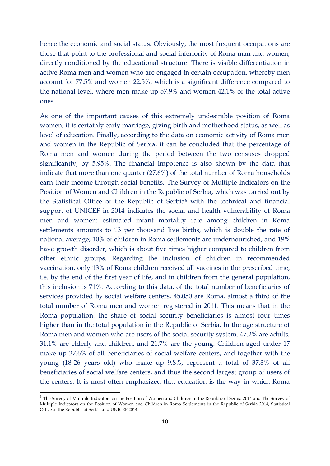hence the economic and social status. Obviously, the most frequent occupations are those that point to the professional and social inferiority of Roma man and women, directly conditioned by the educational structure. There is visible differentiation in active Roma men and women who are engaged in certain occupation, whereby men account for 77.5% and women 22.5%, which is a significant difference compared to the national level, where men make up 57.9% and women 42.1% of the total active ones.

As one of the important causes of this extremely undesirable position of Roma women, it is certainly early marriage, giving birth and motherhood status, as well as level of education. Finally, according to the data on economic activity of Roma men and women in the Republic of Serbia, it can be concluded that the percentage of Roma men and women during the period between the two censuses dropped significantly, by 5.95%. The financial impotence is also shown by the data that indicate that more than one quarter (27.6%) of the total number of Roma households earn their income through social benefits. The Survey of Multiple Indicators on the Position of Women and Children in the Republic of Serbia, which was carried out by the Statistical Office of the Republic of Serbia<sup>6</sup> with the technical and financial support of UNICEF in 2014 indicates the social and health vulnerability of Roma men and women: estimated infant mortality rate among children in Roma settlements amounts to 13 per thousand live births, which is double the rate of national average; 10% of children in Roma settlements are undernourished, and 19% have growth disorder, which is about five times higher compared to children from other ethnic groups. Regarding the inclusion of children in recommended vaccination, only 13% of Roma children received all vaccines in the prescribed time, i.e. by the end of the first year of life, and in children from the general population, this inclusion is 71%. According to this data, of the total number of beneficiaries of services provided by social welfare centers, 45,050 are Roma, almost a third of the total number of Roma men and women registered in 2011. This means that in the Roma population, the share of social security beneficiaries is almost four times higher than in the total population in the Republic of Serbia. In the age structure of Roma men and women who are users of the social security system, 47.2% are adults, 31.1% are elderly and children, and 21.7% are the young. Children aged under 17 make up 27.6% of all beneficiaries of social welfare centers, and together with the young (18-26 years old) who make up 9.8%, represent a total of 37.3% of all beneficiaries of social welfare centers, and thus the second largest group of users of the centers. It is most often emphasized that education is the way in which Roma

<sup>&</sup>lt;sup>6</sup> The Survey of Multiple Indicators on the Position of Women and Children in the Republic of Serbia 2014 and The Survey of Multiple Indicators on the Position of Women and Children in Roma Settlements in the Republic of Serbia 2014, Statistical Office of the Republic of Serbia and UNICEF 2014.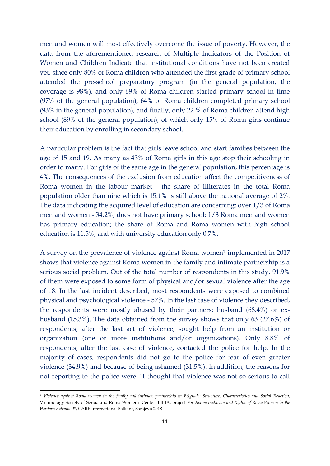men and women will most effectively overcome the issue of poverty. However, the data from the aforementioned research of Multiple Indicators of the Position of Women and Children Indicate that institutional conditions have not been created yet, since only 80% of Roma children who attended the first grade of primary school attended the pre-school preparatory program (in the general population, the coverage is 98%), and only 69% of Roma children started primary school in time (97% of the general population), 64% of Roma children completed primary school (93% in the general population), and finally, only 22 % of Roma children attend high school (89% of the general population), of which only 15% of Roma girls continue their education by enrolling in secondary school.

A particular problem is the fact that girls leave school and start families between the age of 15 and 19. As many as 43% of Roma girls in this age stop their schooling in order to marry. For girls of the same age in the general population, this percentage is 4%. The consequences of the exclusion from education affect the competitiveness of Roma women in the labour market - the share of illiterates in the total Roma population older than nine which is 15.1% is still above the national average of 2%. The data indicating the acquired level of education are concerning: over 1/3 of Roma men and women - 34.2%, does not have primary school; 1/3 Roma men and women has primary education; the share of Roma and Roma women with high school education is 11.5%, and with university education only 0.7%.

A survey on the prevalence of violence against Roma women<sup>7</sup> implemented in 2017 shows that violence against Roma women in the family and intimate partnership is a serious social problem. Out of the total number of respondents in this study, 91.9% of them were exposed to some form of physical and/or sexual violence after the age of 18. In the last incident described, most respondents were exposed to combined physical and psychological violence - 57%. In the last case of violence they described, the respondents were mostly abused by their partners: husband (68.4%) or exhusband (15.3%). The data obtained from the survey shows that only 63 (27.6%) of respondents, after the last act of violence, sought help from an institution or organization (one or more institutions and/or organizations). Only 8.8% of respondents, after the last case of violence, contacted the police for help. In the majority of cases, respondents did not go to the police for fear of even greater violence (34.9%) and because of being ashamed (31.5%). In addition, the reasons for not reporting to the police were: "I thought that violence was not so serious to call

<sup>7</sup> *Violence against Roma women in the family and intimate partnership in Belgrade: Structure, Characteristics and Social Reaction,*  Victimology Society of Serbia and Roma Women's Center BIBIJA, project *For Active Inclusion and Rights of Roma Women in the Western Balkans II*", CARE International Balkans, Sarajevo 2018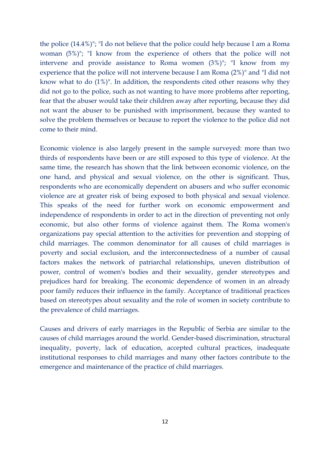the police (14.4%)"; "I do not believe that the police could help because I am a Roma woman (5%)"; "I know from the experience of others that the police will not intervene and provide assistance to Roma women (3%)"; "I know from my experience that the police will not intervene because I am Roma (2%)" and "I did not know what to do (1%)". In addition, the respondents cited other reasons why they did not go to the police, such as not wanting to have more problems after reporting, fear that the abuser would take their children away after reporting, because they did not want the abuser to be punished with imprisonment, because they wanted to solve the problem themselves or because to report the violence to the police did not come to their mind.

Economic violence is also largely present in the sample surveyed: more than two thirds of respondents have been or are still exposed to this type of violence. At the same time, the research has shown that the link between economic violence, on the one hand, and physical and sexual violence, on the other is significant. Thus, respondents who are economically dependent on abusers and who suffer economic violence are at greater risk of being exposed to both physical and sexual violence. This speaks of the need for further work on economic empowerment and independence of respondents in order to act in the direction of preventing not only economic, but also other forms of violence against them. The Roma women's organizations pay special attention to the activities for prevention and stopping of child marriages. The common denominator for all causes of child marriages is poverty and social exclusion, and the interconnectedness of a number of causal factors makes the network of patriarchal relationships, uneven distribution of power, control of women's bodies and their sexuality, gender stereotypes and prejudices hard for breaking. The economic dependence of women in an already poor family reduces their influence in the family. Acceptance of traditional practices based on stereotypes about sexuality and the role of women in society contribute to the prevalence of child marriages.

Causes and drivers of early marriages in the Republic of Serbia are similar to the causes of child marriages around the world. Gender-based discrimination, structural inequality, poverty, lack of education, accepted cultural practices, inadequate institutional responses to child marriages and many other factors contribute to the emergence and maintenance of the practice of child marriages.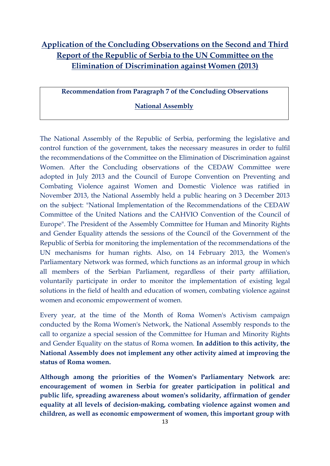# **Application of the Concluding Observations on the Second and Third Report of the Republic of Serbia to the UN Committee on the Elimination of Discrimination against Women (2013)**

**Recommendation from Paragraph 7 of the Concluding Observations** 

# **National Assembly**

The National Assembly of the Republic of Serbia, performing the legislative and control function of the government, takes the necessary measures in order to fulfil the recommendations of the Committee on the Elimination of Discrimination against Women. After the Concluding observations of the CEDAW Committee were adopted in July 2013 and the Council of Europe [Convention](https://www.womenngo.org.rs/images/pdf/Convention_Serbian.pdf.pdf) on Preventing and [Combating](https://www.womenngo.org.rs/images/pdf/Convention_Serbian.pdf.pdf) Violence against Women and Domestic Violence was ratified in [November](https://www.womenngo.org.rs/images/pdf/Convention_Serbian.pdf.pdf) 2013, the National Assembly held a public hearing on 3 December 2013 on the subject: "National Implementation of the Recommendations of the CEDAW Committee of the United Nations and the CAHVIO Convention of the Council of Europe". The President of the Assembly Committee for Human and Minority Rights and Gender Equality attends the sessions of the Council of the Government of the Republic of Serbia for monitoring the implementation of the recommendations of the UN mechanisms for human rights. Also, on 14 February 2013, the Women's Parliamentary Network was formed, which functions as an informal group in which all members of the Serbian Parliament, regardless of their party affiliation, voluntarily participate in order to monitor the implementation of existing legal solutions in the field of health and education of women, combating violence against women and economic empowerment of women.

Every year, at the time of the Month of Roma Women's Activism campaign conducted by the Roma Women's Network, the National Assembly responds to the call to organize a special session of the Committee for Human and Minority Rights and Gender Equality on the status of Roma women. **In addition to this activity, the National Assembly does not implement any other activity aimed at improving the status of Roma women.**

**Although among the priorities of the Women's Parliamentary Network are: encouragement of women in Serbia for greater participation in political and public life, spreading awareness about women's solidarity, affirmation of gender equality at all levels of decision-making, combating violence against women and children, as well as economic empowerment of women, this important group with**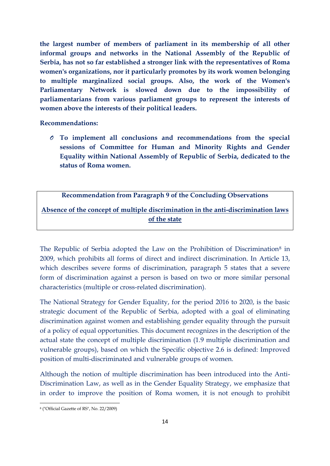**the largest number of members of parliament in its membership of all other informal groups and networks in the National Assembly of the Republic of Serbia, has not so far established a stronger link with the representatives of Roma women's organizations, nor it particularly promotes by its work women belonging to multiple marginalized social groups. Also, the work of the Women's Parliamentary Network is slowed down due to the impossibility of parliamentarians from various parliament groups to represent the interests of women above the interests of their political leaders.**

#### **Recommendations:**

*O* **To implement all conclusions and recommendations from the special sessions of Committee for Human and Minority Rights and Gender Equality within National Assembly of Republic of Serbia, dedicated to the status of Roma women.**

### **Recommendation from Paragraph 9 of the Concluding Observations**

**Absence of the concept of multiple discrimination in the anti-discrimination laws of the state** 

The Republic of Serbia adopted the Law on the Prohibition of Discrimination<sup>8</sup> in 2009, which prohibits all forms of direct and indirect discrimination. In Article 13, which describes severe forms of discrimination, paragraph 5 states that a severe form of discrimination against a person is based on two or more similar personal characteristics (multiple or cross-related discrimination).

The National Strategy for Gender Equality, for the period 2016 to 2020, is the basic strategic document of the Republic of Serbia, adopted with a goal of eliminating discrimination against women and establishing gender equality through the pursuit of a policy of equal opportunities. This document recognizes in the description of the actual state the concept of multiple discrimination (1.9 multiple discrimination and vulnerable groups), based on which the Specific objective 2.6 is defined: Improved position of multi-discriminated and vulnerable groups of women.

Although the notion of multiple discrimination has been introduced into the Anti-Discrimination Law, as well as in the Gender Equality Strategy, we emphasize that in order to improve the position of Roma women, it is not enough to prohibit

1

<sup>8</sup> ("Official Gazette of RS", No. 22/2009)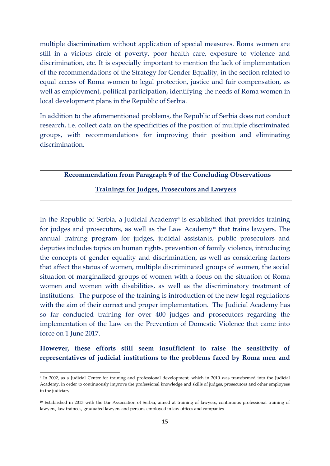multiple discrimination without application of special measures. Roma women are still in a vicious circle of poverty, poor health care, exposure to violence and discrimination, etc. It is especially important to mention the lack of implementation of the recommendations of the Strategy for Gender Equality, in the section related to equal access of Roma women to legal protection, justice and fair compensation, as well as employment, political participation, identifying the needs of Roma women in local development plans in the Republic of Serbia.

In addition to the aforementioned problems, the Republic of Serbia does not conduct research, i.e. collect data on the specificities of the position of multiple discriminated groups, with recommendations for improving their position and eliminating discrimination.

#### **Recommendation from Paragraph 9 of the Concluding Observations**

### **Trainings for Judges, Prosecutors and Lawyers**

In the Republic of Serbia, a Judicial Academy<sup>9</sup> is established that provides training for judges and prosecutors, as well as the Law Academy<sup>10</sup> that trains lawyers. The annual training program for judges, judicial assistants, public prosecutors and deputies includes topics on human rights, prevention of family violence, introducing the concepts of gender equality and discrimination, as well as considering factors that affect the status of women, multiple discriminated groups of women, the social situation of marginalized groups of women with a focus on the situation of Roma women and women with disabilities, as well as the discriminatory treatment of institutions. The purpose of the training is introduction of the new legal regulations with the aim of their correct and proper implementation. The Judicial Academy has so far conducted training for over 400 judges and prosecutors regarding the implementation of the Law on the Prevention of Domestic Violence that came into force on 1 June 2017.

**However, these efforts still seem insufficient to raise the sensitivity of representatives of judicial institutions to the problems faced by Roma men and** 

**.** 

<sup>9</sup> In 2002, as a Judicial Center for training and professional development, which in 2010 was transformed into the Judicial Academy, in order to continuously improve the professional knowledge and skills of judges, prosecutors and other employees in the judiciary.

<sup>10</sup> Established in 2013 with the Bar Association of Serbia, aimed at training of lawyers, continuous professional training of lawyers, law trainees, graduated lawyers and persons employed in law offices and companies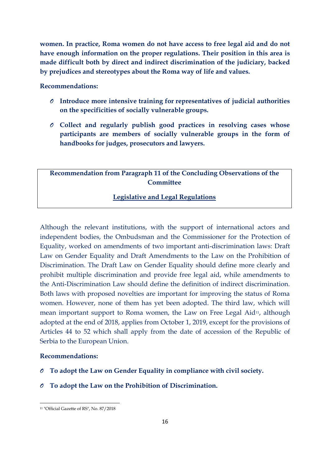**women. In practice, Roma women do not have access to free legal aid and do not have enough information on the proper regulations. Their position in this area is made difficult both by direct and indirect discrimination of the judiciary, backed by prejudices and stereotypes about the Roma way of life and values.** 

## **Recommendations:**

- *O* **Introduce more intensive training for representatives of judicial authorities on the specificities of socially vulnerable groups.**
- *O* **Collect and regularly publish good practices in resolving cases whose participants are members of socially vulnerable groups in the form of handbooks for judges, prosecutors and lawyers.**

# **Recommendation from Paragraph 11 of the Concluding Observations of the Committee**

### **Legislative and Legal Regulations**

Although the relevant institutions, with the support of international actors and independent bodies, the Ombudsman and the Commissioner for the Protection of Equality, worked on amendments of two important anti-discrimination laws: Draft Law on Gender Equality and Draft Amendments to the Law on the Prohibition of Discrimination. The Draft Law on Gender Equality should define more clearly and prohibit multiple discrimination and provide free legal aid, while amendments to the Anti-Discrimination Law should define the definition of indirect discrimination. Both laws with proposed novelties are important for improving the status of Roma women. However, none of them has yet been adopted. The third law, which will mean important support to Roma women, the Law on Free Legal Aid<sup>11</sup>, although adopted at the end of 2018, applies from October 1, 2019, except for the provisions of Articles 44 to 52 which shall apply from the date of accession of the Republic of Serbia to the European Union.

### **Recommendations:**

- *O* **To adopt the Law on Gender Equality in compliance with civil society.**
- *O* **To adopt the Law on the Prohibition of Discrimination.**

1

<sup>11</sup> "Official Gazette of RS", No. 87/2018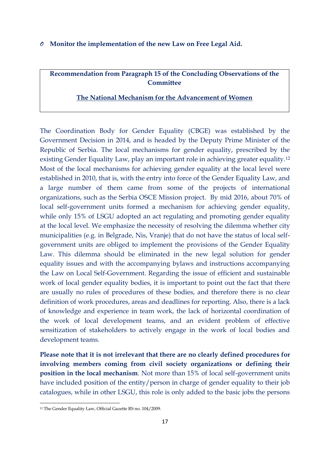#### *O* **Monitor the implementation of the new Law on Free Legal Aid.**

**Recommendation from Paragraph 15 of the Concluding Observations of the Committee**

### **The National Mechanism for the Advancement of Women**

The Coordination Body for Gender Equality (CBGE) was established by the Government Decision in 2014, and is headed by the Deputy Prime Minister of the Republic of Serbia. The local mechanisms for gender equality, prescribed by the existing Gender Equality Law, play an important role in achieving greater equality.<sup>12</sup> Most of the local mechanisms for achieving gender equality at the local level were established in 2010, that is, with the entry into force of the Gender Equality Law, and a large number of them came from some of the projects of international organizations, such as the Serbia OSCE Mission project. By mid 2016, about 70% of local self-government units formed a mechanism for achieving gender equality, while only 15% of LSGU adopted an act regulating and promoting gender equality at the local level. We emphasize the necessity of resolving the dilemma whether city municipalities (e.g. in Belgrade, Nis, Vranje) that do not have the status of local selfgovernment units are obliged to implement the provisions of the Gender Equality Law. This dilemma should be eliminated in the new legal solution for gender equality issues and with the accompanying bylaws and instructions accompanying the Law on Local Self-Government. Regarding the issue of efficient and sustainable work of local gender equality bodies, it is important to point out the fact that there are usually no rules of procedures of these bodies, and therefore there is no clear definition of work procedures, areas and deadlines for reporting. Also, there is a lack of knowledge and experience in team work, the lack of horizontal coordination of the work of local development teams, and an evident problem of effective sensitization of stakeholders to actively engage in the work of local bodies and development teams.

**Please note that it is not irrelevant that there are no clearly defined procedures for involving members coming from civil society organizations or defining their position in the local mechanism**. Not more than 15% of local self-government units have included position of the entity/person in charge of gender equality to their job catalogues, while in other LSGU, this role is only added to the basic jobs the persons

1

<sup>12</sup> The Gender Equality Law, Official Gazette RS no. 104/2009.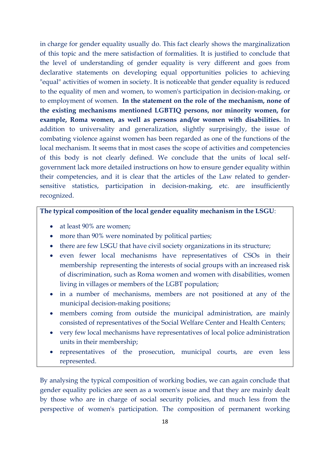in charge for gender equality usually do. This fact clearly shows the marginalization of this topic and the mere satisfaction of formalities. It is justified to conclude that the level of understanding of gender equality is very different and goes from declarative statements on developing equal opportunities policies to achieving "equal" activities of women in society. It is noticeable that gender equality is reduced to the equality of men and women, to women's participation in decision-making, or to employment of women. **In the statement on the role of the mechanism, none of the existing mechanisms mentioned LGBTIQ persons, nor minority women, for example, Roma women, as well as persons and/or women with disabilities.** In addition to universality and generalization, slightly surprisingly, the issue of combating violence against women has been regarded as one of the functions of the local mechanism. It seems that in most cases the scope of activities and competencies of this body is not clearly defined. We conclude that the units of local selfgovernment lack more detailed instructions on how to ensure gender equality within their competencies, and it is clear that the articles of the Law related to gendersensitive statistics, participation in decision-making, etc. are insufficiently recognized.

# **The typical composition of the local gender equality mechanism in the LSGU**:

- at least 90% are women;
- more than 90% were nominated by political parties;
- there are few LSGU that have civil society organizations in its structure;
- even fewer local mechanisms have representatives of CSOs in their membership representing the interests of social groups with an increased risk of discrimination, such as Roma women and women with disabilities, women living in villages or members of the LGBT population;
- in a number of mechanisms, members are not positioned at any of the municipal decision-making positions;
- members coming from outside the municipal administration, are mainly consisted of representatives of the Social Welfare Center and Health Centers;
- very few local mechanisms have representatives of local police administration units in their membership;
- representatives of the prosecution, municipal courts, are even less represented.

By analysing the typical composition of working bodies, we can again conclude that gender equality policies are seen as a women's issue and that they are mainly dealt by those who are in charge of social security policies, and much less from the perspective of women's participation. The composition of permanent working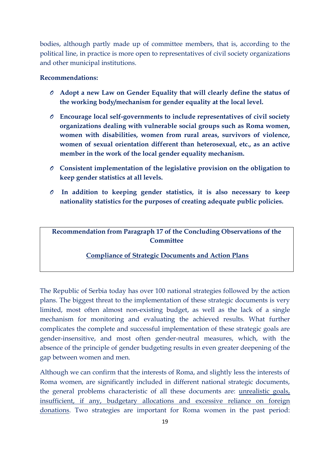bodies, although partly made up of committee members, that is, according to the political line, in practice is more open to representatives of civil society organizations and other municipal institutions.

#### **Recommendations:**

- *O* **Adopt a new Law on Gender Equality that will clearly define the status of the working body/mechanism for gender equality at the local level.**
- *O* **Encourage local self-governments to include representatives of civil society organizations dealing with vulnerable social groups such as Roma women, women with disabilities, women from rural areas, survivors of violence, women of sexual orientation different than heterosexual, etc., as an active member in the work of the local gender equality mechanism.**
- *O* **Consistent implementation of the legislative provision on the obligation to keep gender statistics at all levels.**
- *O* **In addition to keeping gender statistics, it is also necessary to keep nationality statistics for the purposes of creating adequate public policies.**

**Recommendation from Paragraph 17 of the Concluding Observations of the Committee**

#### **Compliance of Strategic Documents and Action Plans**

The Republic of Serbia today has over 100 national strategies followed by the action plans. The biggest threat to the implementation of these strategic documents is very limited, most often almost non-existing budget, as well as the lack of a single mechanism for monitoring and evaluating the achieved results. What further complicates the complete and successful implementation of these strategic goals are gender-insensitive, and most often gender-neutral measures, which, with the absence of the principle of gender budgeting results in even greater deepening of the gap between women and men.

Although we can confirm that the interests of Roma, and slightly less the interests of Roma women, are significantly included in different national strategic documents, the general problems characteristic of all these documents are: unrealistic goals, insufficient, if any, budgetary allocations and excessive reliance on foreign donations. Two strategies are important for Roma women in the past period: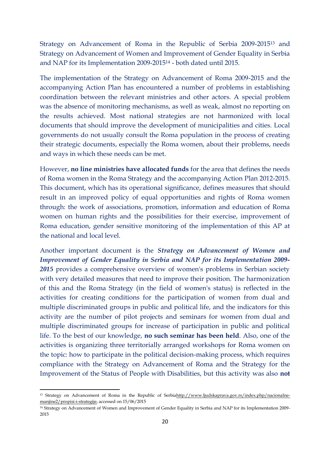Strategy on Advancement of Roma in the Republic of Serbia 2009-2015<sup>13</sup> and Strategy on Advancement of Women and Improvement of Gender Equality in Serbia and NAP for its Implementation 2009-2015<sup>14</sup> - both dated until 2015.

The implementation of the Strategy on Advancement of Roma 2009-2015 and the accompanying Action Plan has encountered a number of problems in establishing coordination between the relevant ministries and other actors. A special problem was the absence of monitoring mechanisms, as well as weak, almost no reporting on the results achieved. Most national strategies are not harmonized with local documents that should improve the development of municipalities and cities. Local governments do not usually consult the Roma population in the process of creating their strategic documents, especially the Roma women, about their problems, needs and ways in which these needs can be met.

However, **no line ministries have allocated funds** for the area that defines the needs of Roma women in the Roma Strategy and the accompanying Action Plan 2012-2015. This document, which has its operational significance, defines measures that should result in an improved policy of equal opportunities and rights of Roma women through: the work of associations, promotion, information and education of Roma women on human rights and the possibilities for their exercise, improvement of Roma education, gender sensitive monitoring of the implementation of this AP at the national and local level.

Another important document is the *Strategy on Advancement of Women and Improvement of Gender Equality in Serbia and NAP for its Implementation 2009- 2015* provides a comprehensive overview of women's problems in Serbian society with very detailed measures that need to improve their position. The harmonization of this and the Roma Strategy (in the field of women's status) is reflected in the activities for creating conditions for the participation of women from dual and multiple discriminated groups in public and political life, and the indicators for this activity are the number of pilot projects and seminars for women from dual and multiple discriminated groups for increase of participation in public and political life. To the best of our knowledge, **no such seminar has been held**. Also, one of the activities is organizing three territorially arranged workshops for Roma women on the topic: how to participate in the political decision-making process, which requires compliance with the Strategy on Advancement of Roma and the Strategy for the Improvement of the Status of People with Disabilities, but this activity was also **not** 

**.** 

<sup>&</sup>lt;sup>13</sup> Strategy on Advancement of Roma in the Republic of Serbi[ahttp://www.ljudskaprava.gov.rs/index.php/nacionalne](http://www.ljudskaprava.gov.rs/index.php/nacionalne-manjine2/propisi-i-strategije)[manjine2/propisi-i-strategije,](http://www.ljudskaprava.gov.rs/index.php/nacionalne-manjine2/propisi-i-strategije) accessed on 15/06/2015

<sup>&</sup>lt;sup>14</sup> Strategy on Advancement of Women and Improvement of Gender Equality in Serbia and NAP for its Implementation 2009-2015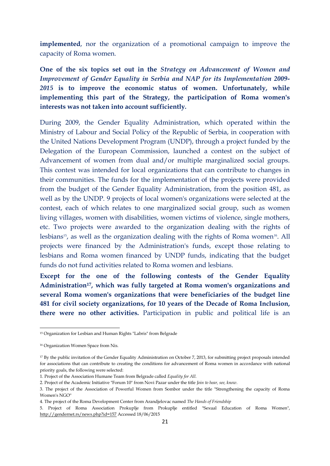**implemented**, nor the organization of a promotional campaign to improve the capacity of Roma women.

**One of the six topics set out in the** *Strategy on Advancement of Women and Improvement of Gender Equality in Serbia and NAP for its Implementation 2009- 2015* **is to improve the economic status of women. Unfortunately, while implementing this part of the Strategy, the participation of Roma women's interests was not taken into account sufficiently***.* 

During 2009, the Gender Equality Administration, which operated within the Ministry of Labour and Social Policy of the Republic of Serbia, in cooperation with the United Nations Development Program (UNDP), through a project funded by the Delegation of the European Commission, launched a contest on the subject of Advancement of women from dual and/or multiple marginalized social groups. This contest was intended for local organizations that can contribute to changes in their communities. The funds for the implementation of the projects were provided from the budget of the Gender Equality Administration, from the position 481, as well as by the UNDP. 9 projects of local women's organizations were selected at the contest, each of which relates to one marginalized social group, such as women living villages, women with disabilities, women victims of violence, single mothers, etc. Two projects were awarded to the organization dealing with the rights of lesbians<sup>15</sup>, as well as the organization dealing with the rights of Roma women<sup>16</sup>. All projects were financed by the Administration's funds, except those relating to lesbians and Roma women financed by UNDP funds, indicating that the budget funds do not fund activities related to Roma women and lesbians.

**Except for the one of the following contests of the Gender Equality Administration17, which was fully targeted at Roma women's organizations and several Roma women's organizations that were beneficiaries of the budget line 481 for civil society organizations, for 10 years of the Decade of Roma Inclusion, there were no other activities.** Participation in public and political life is an

1

<sup>15</sup> Organization for Lesbian and Human Rights "Labris" from Belgrade

<sup>16</sup> Organization Women Space from Nis.

<sup>17</sup> By the public invitation of the Gender Equality Administration on October 7, 2013, for submitting project proposals intended for associations that can contribute to creating the conditions for advancement of Roma women in accordance with national priority goals, the following were selected:

<sup>1.</sup> Project of the Association Humane Team from Belgrade called *Equality for All*.

<sup>2.</sup> Project of the Academic Initiative "Forum 10" from Novi Pazar under the title *Join to hear, see, know*.

<sup>3.</sup> The project of the Association of Powerful Women from Sombor under the title "Strengthening the capacity of Roma Women's NGO"

<sup>4.</sup> The project of the Roma Development Center from Arandjelovac named *The Hands of Friendship*

<sup>5.</sup> Project of Roma Association Prokuplje from Prokuplje entitled "Sexual Education of Roma Women", <http://gendernet.rs/news.php?id=157> Accessed 18/06/2015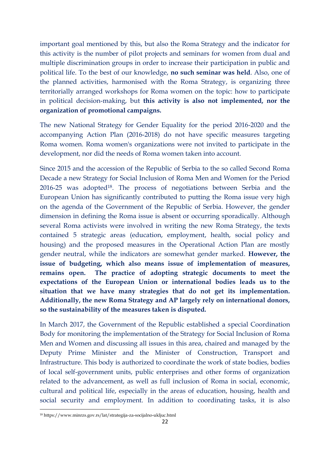important goal mentioned by this, but also the Roma Strategy and the indicator for this activity is the number of pilot projects and seminars for women from dual and multiple discrimination groups in order to increase their participation in public and political life. To the best of our knowledge, **no such seminar was held**. Also, one of the planned activities, harmonised with the Roma Strategy, is organizing three territorially arranged workshops for Roma women on the topic: how to participate in political decision-making, but **this activity is also not implemented, nor the organization of promotional campaigns.**

The new National Strategy for Gender Equality for the period 2016-2020 and the accompanying Action Plan (2016-2018) do not have specific measures targeting Roma women. Roma women's organizations were not invited to participate in the development, nor did the needs of Roma women taken into account.

Since 2015 and the accession of the Republic of Serbia to the so called Second Roma Decade a new Strategy for Social Inclusion of Roma Men and Women for the Period 2016-25 was adopted18. The process of negotiations between Serbia and the European Union has significantly contributed to putting the Roma issue very high on the agenda of the Government of the Republic of Serbia. However, the gender dimension in defining the Roma issue is absent or occurring sporadically. Although several Roma activists were involved in writing the new Roma Strategy, the texts contained 5 strategic areas (education, employment, health, social policy and housing) and the proposed measures in the Operational Action Plan are mostly gender neutral, while the indicators are somewhat gender marked. **However, the issue of budgeting, which also means issue of implementation of measures, remains open. The practice of adopting strategic documents to meet the expectations of the European Union or international bodies leads us to the situation that we have many strategies that do not get its implementation. Additionally, the new Roma Strategy and AP largely rely on international donors, so the sustainability of the measures taken is disputed.**

In March 2017, the Government of the Republic established a special Coordination Body for monitoring the implementation of the Strategy for Social Inclusion of Roma Men and Women and discussing all issues in this area, chaired and managed by the Deputy Prime Minister and the Minister of Construction, Transport and Infrastructure. This body is authorized to coordinate the work of state bodies, bodies of local self-government units, public enterprises and other forms of organization related to the advancement, as well as full inclusion of Roma in social, economic, cultural and political life, especially in the areas of education, housing, health and social security and employment. In addition to coordinating tasks, it is also

**.** 

<sup>18</sup> https://www.minrzs.gov.rs/lat/strategija-za-socijalno-ukljuc.html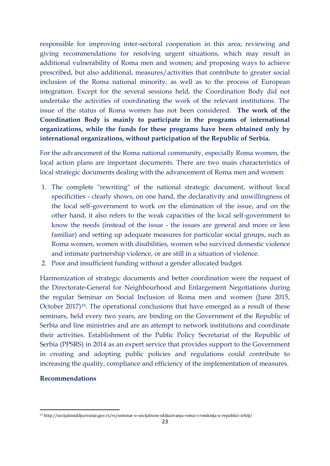responsible for improving inter-sectoral cooperation in this area; reviewing and giving recommendations for resolving urgent situations, which may result in additional vulnerability of Roma men and women; and proposing ways to achieve prescribed, but also additional, measures/activities that contribute to greater social inclusion of the Roma national minority, as well as to the process of European integration. Except for the several sessions held, the Coordination Body did not undertake the activities of coordinating the work of the relevant institutions. The issue of the status of Roma women has not been considered. **The work of the Coordination Body is mainly to participate in the programs of international organizations, while the funds for these programs have been obtained only by international organizations, without participation of the Republic of Serbia.**

For the advancement of the Roma national community, especially Roma women, the local action plans are important documents. There are two main characteristics of local strategic documents dealing with the advancement of Roma men and women:

- 1. The complete "rewriting" of the national strategic document, without local specificities - clearly shows, on one hand, the declarativity and unwillingness of the local self-government to work on the elimination of the issue, and on the other hand, it also refers to the weak capacities of the local self-government to know the needs (instead of the issue - the issues are general and more or less familiar) and setting up adequate measures for particular social groups, such as Roma women, women with disabilities, women who survived domestic violence and intimate partnership violence, or are still in a situation of violence.
- 2. Poor and insufficient funding without a gender allocated budget.

Harmonization of strategic documents and better coordination were the request of the Directorate-General for Neighbourhood and Enlargement Negotiations during the regular Seminar on Social Inclusion of Roma men and women (June 2015, October 2017)19. The operational conclusions that have emerged as a result of these seminars, held every two years, are binding on the Government of the Republic of Serbia and line ministries and are an attempt to network institutions and coordinate their activities. Establishment of the Public Policy Secretariat of the Republic of Serbia (PPSRS) in 2014 as an expert service that provides support to the Government in creating and adopting public policies and regulations could contribute to increasing the quality, compliance and efficiency of the implementation of measures.

### **Recommendations**

**.** 

<sup>19</sup> http://socijalnoukljucivanje.gov.rs/rs/seminar-o-socijalnom-ukljucivanju-roma-i-romkinja-u-republici-srbiji/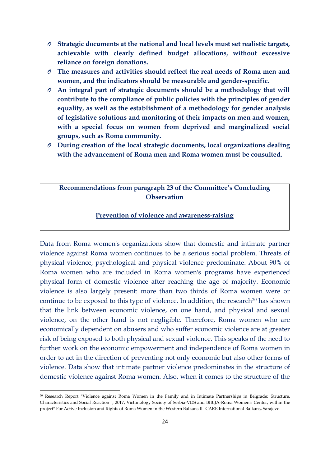- *O* **Strategic documents at the national and local levels must set realistic targets, achievable with clearly defined budget allocations, without excessive reliance on foreign donations.**
- *O* **The measures and activities should reflect the real needs of Roma men and women, and the indicators should be measurable and gender-specific.**
- *O* **An integral part of strategic documents should be a methodology that will contribute to the compliance of public policies with the principles of gender equality, as well as the establishment of a methodology for gender analysis of legislative solutions and monitoring of their impacts on men and women, with a special focus on women from deprived and marginalized social groups, such as Roma community.**
- *O* **During creation of the local strategic documents, local organizations dealing with the advancement of Roma men and Roma women must be consulted.**

# **Recommendations from paragraph 23 of the Committee's Concluding Observation**

### **Prevention of violence and awareness-raising**

Data from Roma women's organizations show that domestic and intimate partner violence against Roma women continues to be a serious social problem. Threats of physical violence, psychological and physical violence predominate. About 90% of Roma women who are included in Roma women's programs have experienced physical form of domestic violence after reaching the age of majority. Economic violence is also largely present: more than two thirds of Roma women were or continue to be exposed to this type of violence. In addition, the research<sup>20</sup> has shown that the link between economic violence, on one hand, and physical and sexual violence, on the other hand is not negligible. Therefore, Roma women who are economically dependent on abusers and who suffer economic violence are at greater risk of being exposed to both physical and sexual violence. This speaks of the need to further work on the economic empowerment and independence of Roma women in order to act in the direction of preventing not only economic but also other forms of violence. Data show that intimate partner violence predominates in the structure of domestic violence against Roma women. Also, when it comes to the structure of the

<sup>20</sup> Research Report "Violence against Roma Women in the Family and in Intimate Partnerships in Belgrade: Structure, Characteristics and Social Reaction ", 2017, Victimology Society of Serbia-VDS and BIBIJA-Roma Women's Center, within the project" For Active Inclusion and Rights of Roma Women in the Western Balkans II "CARE International Balkans, Sarajevo.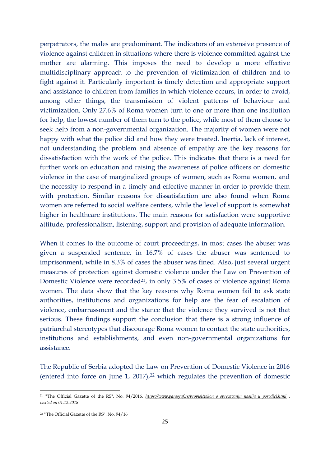perpetrators, the males are predominant. The indicators of an extensive presence of violence against children in situations where there is violence committed against the mother are alarming. This imposes the need to develop a more effective multidisciplinary approach to the prevention of victimization of children and to fight against it. Particularly important is timely detection and appropriate support and assistance to children from families in which violence occurs, in order to avoid, among other things, the transmission of violent patterns of behaviour and victimization. Only 27.6% of Roma women turn to one or more than one institution for help, the lowest number of them turn to the police, while most of them choose to seek help from a non-governmental organization. The majority of women were not happy with what the police did and how they were treated. Inertia, lack of interest, not understanding the problem and absence of empathy are the key reasons for dissatisfaction with the work of the police. This indicates that there is a need for further work on education and raising the awareness of police officers on domestic violence in the case of marginalized groups of women, such as Roma women, and the necessity to respond in a timely and effective manner in order to provide them with protection. Similar reasons for dissatisfaction are also found when Roma women are referred to social welfare centers, while the level of support is somewhat higher in healthcare institutions. The main reasons for satisfaction were supportive attitude, professionalism, listening, support and provision of adequate information.

When it comes to the outcome of court proceedings, in most cases the abuser was given a suspended sentence, in 16.7% of cases the abuser was sentenced to imprisonment, while in 8.3% of cases the abuser was fined. Also, just several urgent measures of protection against domestic violence under the Law on Prevention of Domestic Violence were recorded<sup>21</sup>, in only 3.5% of cases of violence against Roma women. The data show that the key reasons why Roma women fail to ask state authorities, institutions and organizations for help are the fear of escalation of violence, embarrassment and the stance that the violence they survived is not that serious. These findings support the conclusion that there is a strong influence of patriarchal stereotypes that discourage Roma women to contact the state authorities, institutions and establishments, and even non-governmental organizations for assistance.

The Republic of Serbia adopted the Law on Prevention of Domestic Violence in 2016 (entered into force on June 1, 2017), $22$  which regulates the prevention of domestic

<sup>21</sup> *"*The Official Gazette of the RS", No. 94/2016*, [https://www.paragraf.rs/propisi/zakon\\_o\\_sprecavanju\\_nasilja\\_u\\_porodici.html](https://www.paragraf.rs/propisi/zakon_o_sprecavanju_nasilja_u_porodici.html) , visited on 01.12.2018* 

<sup>22</sup> *"*The Official Gazette of the RS", No. 94/16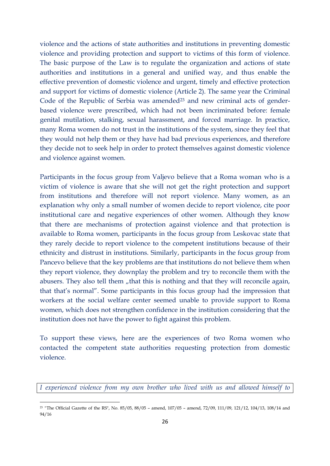violence and the actions of state authorities and institutions in preventing domestic violence and providing protection and support to victims of this form of violence. The basic purpose of the Law is to regulate the organization and actions of state authorities and institutions in a general and unified way, and thus enable the effective prevention of domestic violence and urgent, timely and effective protection and support for victims of domestic violence (Article 2). The same year the Criminal Code of the Republic of Serbia was amended<sup>23</sup> and new criminal acts of genderbased violence were prescribed, which had not been incriminated before: female genital mutilation, stalking, sexual harassment, and forced marriage. In practice, many Roma women do not trust in the institutions of the system, since they feel that they would not help them or they have had bad previous experiences, and therefore they decide not to seek help in order to protect themselves against domestic violence and violence against women.

Participants in the focus group from Valjevo believe that a Roma woman who is a victim of violence is aware that she will not get the right protection and support from institutions and therefore will not report violence. Many women, as an explanation why only a small number of women decide to report violence, cite poor institutional care and negative experiences of other women. Although they know that there are mechanisms of protection against violence and that protection is available to Roma women, participants in the focus group from Leskovac state that they rarely decide to report violence to the competent institutions because of their ethnicity and distrust in institutions. Similarly, participants in the focus group from Pancevo believe that the key problems are that institutions do not believe them when they report violence, they downplay the problem and try to reconcile them with the abusers. They also tell them , that this is nothing and that they will reconcile again, that that's normal". Some participants in this focus group had the impression that workers at the social welfare center seemed unable to provide support to Roma women, which does not strengthen confidence in the institution considering that the institution does not have the power to fight against this problem.

To support these views, here are the experiences of two Roma women who contacted the competent state authorities requesting protection from domestic violence.

*I experienced violence from my own brother who lived with us and allowed himself to* 

<sup>&</sup>lt;sup>23</sup> "The Official Gazette of the RS", No. 85/05, 88/05 - amend, 107/05 - amend, 72/09, 111/09, 121/12, 104/13, 108/14 and 94/16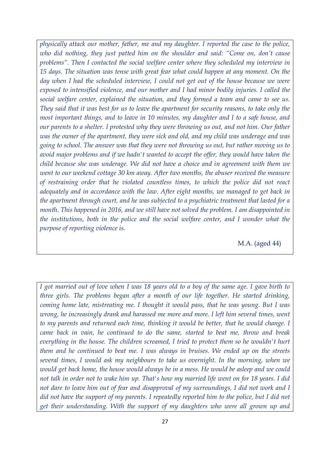*physically attack our mother, father, me and my daughter. I reported the case to the police, who did nothing, they just patted him on the shoulder and said: "Come on, don't cause problems". Then I contacted the social welfare center where they scheduled my interview in 15 days. The situation was tense with great fear what could happen at any moment. On the day when I had the scheduled interview, I could not get out of the house because we were exposed to intensified violence, and our mother and I had minor bodily injuries. I called the social welfare center, explained the situation, and they formed a team and came to see us. They said that it was best for us to leave the apartment for security reasons, to take only the most important things, and to leave in 10 minutes, my daughter and I to a safe house, and our parents to a shelter. I protested why they were throwing us out, and not him. Our father was the owner of the apartment, they were sick and old, and my child was underage and was going to school. The answer was that they were not throwing us out, but rather moving us to avoid major problems and if we hadn't wanted to accept the offer, they would have taken the child because she was underage. We did not have a choice and in agreement with them we went to our weekend cottage 30 km away. After two months, the abuser received the measure of restraining order that he violated countless times, to which the police did not react adequately and in accordance with the law. After eight months, we managed to get back in the apartment through court, and he was subjected to a psychiatric treatment that lasted for a month. This happened in 2016, and we still have not solved the problem. I am disappointed in the institutions, both in the police and the social welfare center, and I wonder what the purpose of reporting violence is.*

M.A. (aged 44)

*I got married out of love when I was 18 years old to a boy of the same age. I gave birth to three girls. The problems began after a month of our life together. He started drinking, coming home late, mistreating me. I thought it would pass, that he was young. But I was wrong, he increasingly drank and harassed me more and more. I left him several times, went to my parents and returned each time, thinking it would be better, that he would change. I came back in vain, he continued to do the same, started to beat me, throw and break everything in the house. The children screamed, I tried to protect them so he wouldn't hurt them and he continued to beat me. I was always in bruises. We ended up on the streets several times, I would ask my neighbours to take us overnight. In the morning, when we would get back home, the house would always be in a mess. He would be asleep and we could not talk in order not to wake him up. That's how my married life went on for 18 years. I did not dare to leave him out of fear and disapproval of my surroundings, I did not work and I did not have the support of my parents. I repeatedly reported him to the police, but I did not get their understanding. With the support of my daughters who were all grown up and*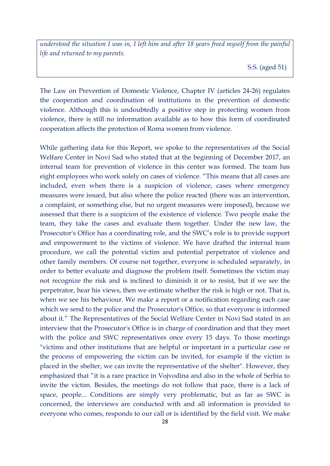*understood the situation I was in, I left him and after 18 years freed myself from the painful life and returned to my parents.* 

S.S. (aged 51)

The Law on Prevention of Domestic Violence, Chapter IV (articles 24-26) regulates the cooperation and coordination of institutions in the prevention of domestic violence. Although this is undoubtedly a positive step in protecting women from violence, there is still no information available as to how this form of coordinated cooperation affects the protection of Roma women from violence.

While gathering data for this Report, we spoke to the representatives of the Social Welfare Center in Novi Sad who stated that at the beginning of December 2017, an internal team for prevention of violence in this center was formed. The team has eight employees who work solely on cases of violence. "This means that all cases are included, even when there is a suspicion of violence, cases where emergency measures were issued, but also where the police reacted (there was an intervention, a complaint, or something else, but no urgent measures were imposed), because we assessed that there is a suspicion of the existence of violence. Two people make the team, they take the cases and evaluate them together. Under the new law, the Prosecutor's Office has a coordinating role, and the SWC's role is to provide support and empowerment to the victims of violence. We have drafted the internal team procedure, we call the potential victim and potential perpetrator of violence and other family members. Of course not together, everyone is scheduled separately, in order to better evaluate and diagnose the problem itself. Sometimes the victim may not recognize the risk and is inclined to diminish it or to resist, but if we see the perpetrator, hear his views, then we estimate whether the risk is high or not. That is, when we see his behaviour. We make a report or a notification regarding each case which we send to the police and the Prosecutor's Office, so that everyone is informed about it." The Representatives of the Social Welfare Center in Novi Sad stated in an interview that the Prosecutor's Office is in charge of coordination and that they meet with the police and SWC representatives once every 15 days. To those meetings "victims and other institutions that are helpful or important in a particular case or the process of empowering the victim can be invited, for example if the victim is placed in the shelter, we can invite the representative of the shelter". However, they emphasized that "it is a rare practice in Vojvodina and also in the whole of Serbia to invite the victim. Besides, the meetings do not follow that pace, there is a lack of space, people... Conditions are simply very problematic, but as far as SWC is concerned, the interviews are conducted with and all information is provided to everyone who comes, responds to our call or is identified by the field visit. We make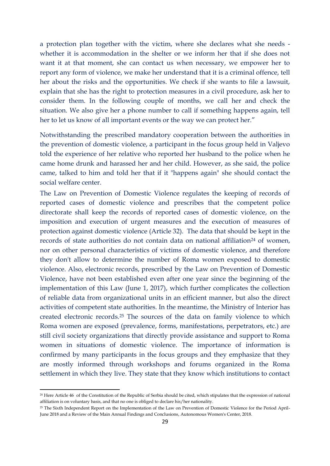a protection plan together with the victim, where she declares what she needs whether it is accommodation in the shelter or we inform her that if she does not want it at that moment, she can contact us when necessary, we empower her to report any form of violence, we make her understand that it is a criminal offence, tell her about the risks and the opportunities. We check if she wants to file a lawsuit, explain that she has the right to protection measures in a civil procedure, ask her to consider them. In the following couple of months, we call her and check the situation. We also give her a phone number to call if something happens again, tell her to let us know of all important events or the way we can protect her."

Notwithstanding the prescribed mandatory cooperation between the authorities in the prevention of domestic violence, a participant in the focus group held in Valjevo told the experience of her relative who reported her husband to the police when he came home drunk and harassed her and her child. However, as she said, the police came, talked to him and told her that if it "happens again" she should contact the social welfare center.

The Law on Prevention of Domestic Violence regulates the keeping of records of reported cases of domestic violence and prescribes that the competent police directorate shall keep the records of reported cases of domestic violence, on the imposition and execution of urgent measures and the execution of measures of protection against domestic violence (Article 32). The data that should be kept in the records of state authorities do not contain data on national affiliation<sup>24</sup> of women, nor on other personal characteristics of victims of domestic violence, and therefore they don't allow to determine the number of Roma women exposed to domestic violence. Also, electronic records, prescribed by the Law on Prevention of Domestic Violence, have not been established even after one year since the beginning of the implementation of this Law (June 1, 2017), which further complicates the collection of reliable data from organizational units in an efficient manner, but also the direct activities of competent state authorities. In the meantime, the Ministry of Interior has created electronic records.<sup>25</sup> The sources of the data on family violence to which Roma women are exposed (prevalence, forms, manifestations, perpetrators, etc.) are still civil society organizations that directly provide assistance and support to Roma women in situations of domestic violence. The importance of information is confirmed by many participants in the focus groups and they emphasize that they are mostly informed through workshops and forums organized in the Roma settlement in which they live. They state that they know which institutions to contact

**.** 

<sup>24</sup> Here Article 46 of the Constitution of the Republic of Serbia should be cited, which stipulates that the expression of national affiliation is on voluntary basis, and that no one is obliged to declare his/her nationality.

<sup>&</sup>lt;sup>25</sup> The Sixth Independent Report on the Implementation of the Law on Prevention of Domestic Violence for the Period April-June 2018 and a Review of the Main Annual Findings and Conclusions, Autonomous Women's Center, 2018.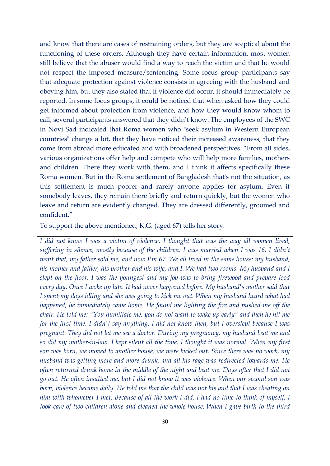and know that there are cases of restraining orders, but they are sceptical about the functioning of these orders. Although they have certain information, most women still believe that the abuser would find a way to reach the victim and that he would not respect the imposed measure/sentencing. Some focus group participants say that adequate protection against violence consists in agreeing with the husband and obeying him, but they also stated that if violence did occur, it should immediately be reported. In some focus groups, it could be noticed that when asked how they could get informed about protection from violence, and how they would know whom to call, several participants answered that they didn't know. The employees of the SWC in Novi Sad indicated that Roma women who "seek asylum in Western European countries" change a lot, that they have noticed their increased awareness, that they come from abroad more educated and with broadened perspectives. "From all sides, various organizations offer help and compete who will help more families, mothers and children. There they work with them, and I think it affects specifically these Roma women. But in the Roma settlement of Bangladesh that's not the situation, as this settlement is much poorer and rarely anyone applies for asylum. Even if somebody leaves, they remain there briefly and return quickly, but the women who leave and return are evidently changed. They are dressed differently, groomed and confident."

To support the above mentioned, K.G. (aged 67) tells her story:

*I did not know I was a victim of violence. I thought that was the way all women lived, suffering in silence, mostly because of the children. I was married when I was 16. I didn't want that, my father sold me, and now I'm 67. We all lived in the same house: my husband, his mother and father, his brother and his wife, and I. We had two rooms. My husband and I slept on the floor. I was the youngest and my job was to bring firewood and prepare food every day. Once I woke up late. It had never happened before. My husband's mother said that I spent my days idling and she was going to kick me out. When my husband heard what had happened, he immediately came home. He found me lighting the fire and pushed me off the chair. He told me: "You humiliate me, you do not want to wake up early" and then he hit me for the first time. I didn't say anything. I did not know then, but I overslept because I was pregnant. They did not let me see a doctor. During my pregnancy, my husband beat me and so did my mother-in-law. I kept silent all the time. I thought it was normal. When my first son was born, we moved to another house, we were kicked out. Since there was no work, my husband was getting more and more drunk, and all his rage was redirected towards me. He often returned drunk home in the middle of the night and beat me. Days after that I did not go out. He often insulted me, but I did not know it was violence. When our second son was born, violence became daily. He told me that the child was not his and that I was cheating on him with whomever I met. Because of all the work I did, I had no time to think of myself, I took care of two children alone and cleaned the whole house. When I gave birth to the third*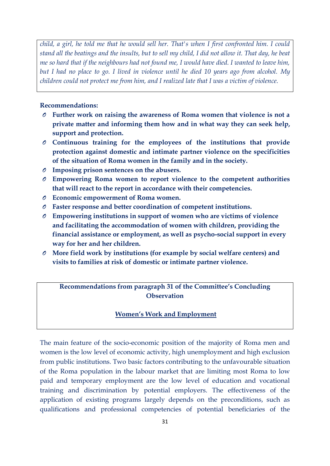*child, a girl, he told me that he would sell her. That's when I first confronted him. I could stand all the beatings and the insults, but to sell my child, I did not allow it. That day, he beat me so hard that if the neighbours had not found me, I would have died. I wanted to leave him, but I had no place to go. I lived in violence until he died 10 years ago from alcohol. My children could not protect me from him, and I realized late that I was a victim of violence.* 

## **Recommendations:**

- *O* **Further work on raising the awareness of Roma women that violence is not a private matter and informing them how and in what way they can seek help, support and protection.**
- *O* **Continuous training for the employees of the institutions that provide protection against domestic and intimate partner violence on the specificities of the situation of Roma women in the family and in the society.**
- *O* **Imposing prison sentences on the abusers.**
- *O* **Empowering Roma women to report violence to the competent authorities that will react to the report in accordance with their competencies.**
- *O* **Economic empowerment of Roma women.**
- *O* **Faster response and better coordination of competent institutions.**
- *O* **Empowering institutions in support of women who are victims of violence and facilitating the accommodation of women with children, providing the financial assistance or employment, as well as psycho-social support in every way for her and her children.**
- *O* **More field work by institutions (for example by social welfare centers) and visits to families at risk of domestic or intimate partner violence.**

# **Recommendations from paragraph 31 of the Committee's Concluding Observation**

# **Women's Work and Employment**

The main feature of the socio-economic position of the majority of Roma men and women is the low level of economic activity, high unemployment and high exclusion from public institutions. Two basic factors contributing to the unfavourable situation of the Roma population in the labour market that are limiting most Roma to low paid and temporary employment are the low level of education and vocational training and discrimination by potential employers. The effectiveness of the application of existing programs largely depends on the preconditions, such as qualifications and professional competencies of potential beneficiaries of the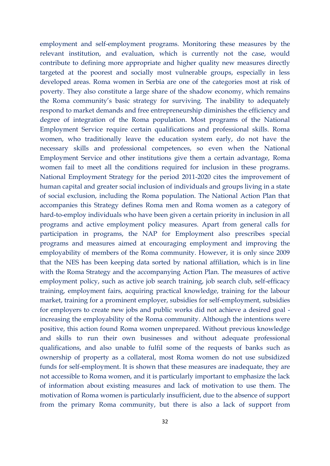employment and self-employment programs. Monitoring these measures by the relevant institution, and evaluation, which is currently not the case, would contribute to defining more appropriate and higher quality new measures directly targeted at the poorest and socially most vulnerable groups, especially in less developed areas. Roma women in Serbia are one of the categories most at risk of poverty. They also constitute a large share of the shadow economy, which remains the Roma community's basic strategy for surviving. The inability to adequately respond to market demands and free entrepreneurship diminishes the efficiency and degree of integration of the Roma population. Most programs of the National Employment Service require certain qualifications and professional skills. Roma women, who traditionally leave the education system early, do not have the necessary skills and professional competences, so even when the National Employment Service and other institutions give them a certain advantage, Roma women fail to meet all the conditions required for inclusion in these programs. National Employment Strategy for the period 2011-2020 cites the improvement of human capital and greater social inclusion of individuals and groups living in a state of social exclusion, including the Roma population. The National Action Plan that accompanies this Strategy defines Roma men and Roma women as a category of hard-to-employ individuals who have been given a certain priority in inclusion in all programs and active employment policy measures. Apart from general calls for participation in programs, the NAP for Employment also prescribes special programs and measures aimed at encouraging employment and improving the employability of members of the Roma community. However, it is only since 2009 that the NES has been keeping data sorted by national affiliation, which is in line with the Roma Strategy and the accompanying Action Plan. The measures of active employment policy, such as active job search training, job search club, self-efficacy training, employment fairs, acquiring practical knowledge, training for the labour market, training for a prominent employer, subsidies for self-employment, subsidies for employers to create new jobs and public works did not achieve a desired goal increasing the employability of the Roma community. Although the intentions were positive, this action found Roma women unprepared. Without previous knowledge and skills to run their own businesses and without adequate professional qualifications, and also unable to fulfil some of the requests of banks such as ownership of property as a collateral, most Roma women do not use subsidized funds for self-employment. It is shown that these measures are inadequate, they are not accessible to Roma women, and it is particularly important to emphasize the lack of information about existing measures and lack of motivation to use them. The motivation of Roma women is particularly insufficient, due to the absence of support from the primary Roma community, but there is also a lack of support from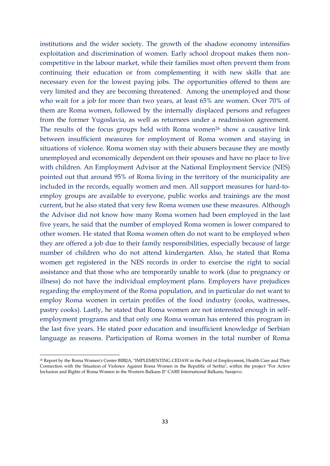institutions and the wider society. The growth of the shadow economy intensifies exploitation and discrimination of women. Early school dropout makes them noncompetitive in the labour market, while their families most often prevent them from continuing their education or from complementing it with new skills that are necessary even for the lowest paying jobs. The opportunities offered to them are very limited and they are becoming threatened. Among the unemployed and those who wait for a job for more than two years, at least 65% are women. Over 70% of them are Roma women, followed by the internally displaced persons and refugees from the former Yugoslavia, as well as returnees under a readmission agreement. The results of the focus groups held with Roma women<sup>26</sup> show a causative link between insufficient measures for employment of Roma women and staying in situations of violence. Roma women stay with their abusers because they are mostly unemployed and economically dependent on their spouses and have no place to live with children. An Employment Advisor at the National Employment Service (NES) pointed out that around 95% of Roma living in the territory of the municipality are included in the records, equally women and men. All support measures for hard-toemploy groups are available to everyone, public works and trainings are the most current, but he also stated that very few Roma women use these measures. Although the Advisor did not know how many Roma women had been employed in the last five years, he said that the number of employed Roma women is lower compared to other women. He stated that Roma women often do not want to be employed when they are offered a job due to their family responsibilities, especially because of large number of children who do not attend kindergarten. Also, he stated that Roma women get registered in the NES records in order to exercise the right to social assistance and that those who are temporarily unable to work (due to pregnancy or illness) do not have the individual employment plans. Employers have prejudices regarding the employment of the Roma population, and in particular do not want to employ Roma women in certain profiles of the food industry (cooks, waitresses, pastry cooks). Lastly, he stated that Roma women are not interested enough in selfemployment programs and that only one Roma woman has entered this program in the last five years. He stated poor education and insufficient knowledge of Serbian language as reasons. Participation of Roma women in the total number of Roma

1

<sup>26</sup> Report by the Roma Women's Center BIBIJA, "IMPLEMENTING CEDAW in the Field of Employment, Health Care and Their Connection with the Situation of Violence Against Roma Women in the Republic of Serbia", within the project "For Active Inclusion and Rights of Roma Women in the Western Balkans II" CARE International Balkans, Sarajevo.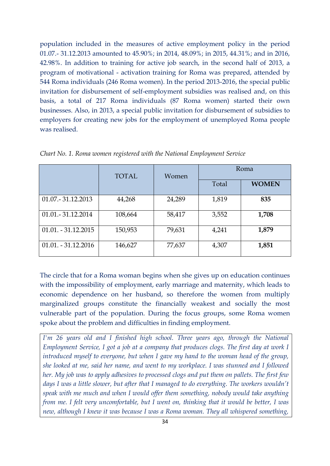population included in the measures of active employment policy in the period 01.07.- 31.12.2013 amounted to 45.90%; in 2014, 48.09%; in 2015, 44.31%; and in 2016, 42.98%. In addition to training for active job search, in the second half of 2013, a program of motivational - activation training for Roma was prepared, attended by 544 Roma individuals (246 Roma women). In the period 2013-2016, the special public invitation for disbursement of self-employment subsidies was realised and, on this basis, a total of 217 Roma individuals (87 Roma women) started their own businesses. Also, in 2013, a special public invitation for disbursement of subsidies to employers for creating new jobs for the employment of unemployed Roma people was realised.

|                       | <b>TOTAL</b> | Women  | Roma  |              |
|-----------------------|--------------|--------|-------|--------------|
|                       |              |        | Total | <b>WOMEN</b> |
| 01.07.-31.12.2013     | 44,268       | 24,289 | 1,819 | 835          |
| 01.01. - 31.12.2014   | 108,664      | 58,417 | 3,552 | 1,708        |
| $01.01. - 31.12.2015$ | 150,953      | 79,631 | 4,241 | 1,879        |
| $01.01. - 31.12.2016$ | 146,627      | 77,637 | 4,307 | 1,851        |

*Chart No. 1. Roma women registered with the National Employment Service*

The circle that for a Roma woman begins when she gives up on education continues with the impossibility of employment, early marriage and maternity, which leads to economic dependence on her husband, so therefore the women from multiply marginalized groups constitute the financially weakest and socially the most vulnerable part of the population. During the focus groups, some Roma women spoke about the problem and difficulties in finding employment.

*I'm 26 years old and I finished high school. Three years ago, through the National Employment Service, I got a job at a company that produces clogs. The first day at work I introduced myself to everyone, but when I gave my hand to the woman head of the group, she looked at me, said her name, and went to my workplace. I was stunned and I followed her. My job was to apply adhesives to processed clogs and put them on pallets. The first few days I was a little slower, but after that I managed to do everything. The workers wouldn't speak with me much and when I would offer them something, nobody would take anything from me. I felt very uncomfortable, but I went on, thinking that it would be better, I was new, although I knew it was because I was a Roma woman. They all whispered something,*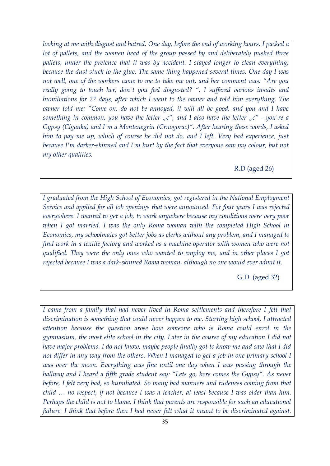*looking at me with disgust and hatred. One day, before the end of working hours, I packed a lot of pallets, and the women head of the group passed by and deliberately pushed three pallets, under the pretence that it was by accident. I stayed longer to clean everything, because the dust stuck to the glue. The same thing happened several times. One day I was not well, one of the workers came to me to take me out, and her comment was: "Are you really going to touch her, don't you feel disgusted? ". I suffered various insults and humiliations for 27 days, after which I went to the owner and told him everything. The owner told me: "Come on, do not be annoyed, it will all be good, and you and I have something in common, you have the letter "c", and I also have the letter "c" - you're a Gypsy (Ciganka) and I'm a Montenegrin (Crnogorac)*". After hearing these words, I asked *him to pay me up, which of course he did not do, and I left. Very bad experience, just because I'm darker-skinned and I'm hurt by the fact that everyone saw my colour, but not my other qualities.*

R.D (aged 26)

*I graduated from the High School of Economics, got registered in the National Employment Service and applied for all job openings that were announced. For four years I was rejected everywhere. I wanted to get a job, to work anywhere because my conditions were very poor when I got married. I was the only Roma woman with the completed High School in Economics, my schoolmates got better jobs as clerks without any problem, and I managed to find work in a textile factory and worked as a machine operator with women who were not qualified. They were the only ones who wanted to employ me, and in other places I got rejected because I was a dark-skinned Roma woman, although no one would ever admit it.* 

G.D. (aged 32)

*I* came from a family that had never lived in Roma settlements and therefore I felt that *discrimination is something that could never happen to me. Starting high school, I attracted attention because the question arose how someone who is Roma could enrol in the gymnasium, the most elite school in the city. Later in the course of my education I did not have major problems. I do not know, maybe people finally got to know me and saw that I did not differ in any way from the others. When I managed to get a job in one primary school I was over the moon. Everything was fine until one day when I was passing through the hallway and I heard a fifth grade student say: "Lets go, here comes the Gypsy". As never before, I felt very bad, so humiliated. So many bad manners and rudeness coming from that child … no respect, if not because I was a teacher, at least because I was older than him. Perhaps the child is not to blame, I think that parents are responsible for such an educational failure. I think that before then I had never felt what it meant to be discriminated against.*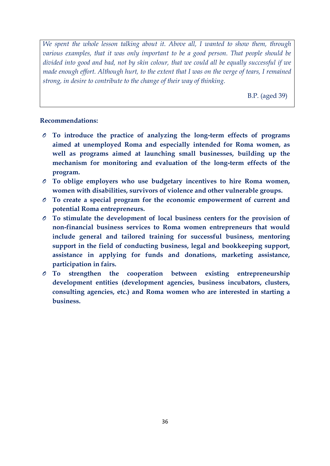*We spent the whole lesson talking about it. Above all, I wanted to show them, through various examples, that it was only important to be a good person. That people should be divided into good and bad, not by skin colour, that we could all be equally successful if we made enough effort. Although hurt, to the extent that I was on the verge of tears, I remained strong, in desire to contribute to the change of their way of thinking.* 

B.P. (aged 39)

### **Recommendations:**

- To introduce the practice of analyzing the long-term effects of programs **aimed at unemployed Roma and especially intended for Roma women, as well as programs aimed at launching small businesses, building up the mechanism for monitoring and evaluation of the long-term effects of the program.**
- *O* **To oblige employers who use budgetary incentives to hire Roma women, women with disabilities, survivors of violence and other vulnerable groups.**
- *O* **To create a special program for the economic empowerment of current and potential Roma entrepreneurs.**
- *O* **To stimulate the development of local business centers for the provision of non-financial business services to Roma women entrepreneurs that would include general and tailored training for successful business, mentoring support in the field of conducting business, legal and bookkeeping support, assistance in applying for funds and donations, marketing assistance, participation in fairs.**
- *O* **To strengthen the cooperation between existing entrepreneurship development entities (development agencies, business incubators, clusters, consulting agencies, etc.) and Roma women who are interested in starting a business.**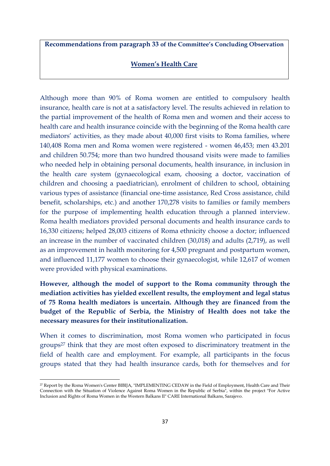**Recommendations from paragraph 33 of the Committee's Concluding Observation** 

#### **Women's Health Care**

Although more than 90% of Roma women are entitled to compulsory health insurance, health care is not at a satisfactory level. The results achieved in relation to the partial improvement of the health of Roma men and women and their access to health care and health insurance coincide with the beginning of the Roma health care mediators' activities, as they made about 40,000 first visits to Roma families, where 140,408 Roma men and Roma women were registered - women 46,453; men 43.201 and children 50.754; more than two hundred thousand visits were made to families who needed help in obtaining personal documents, health insurance, in inclusion in the health care system (gynaecological exam, choosing a doctor, vaccination of children and choosing a paediatrician), enrolment of children to school, obtaining various types of assistance (financial one-time assistance, Red Cross assistance, child benefit, scholarships, etc.) and another 170,278 visits to families or family members for the purpose of implementing health education through a planned interview. Roma health mediators provided personal documents and health insurance cards to 16,330 citizens; helped 28,003 citizens of Roma ethnicity choose a doctor; influenced an increase in the number of vaccinated children (30,018) and adults (2,719), as well as an improvement in health monitoring for 4,500 pregnant and postpartum women, and influenced 11,177 women to choose their gynaecologist, while 12,617 of women were provided with physical examinations.

**However, although the model of support to the Roma community through the mediation activities has yielded excellent results, the employment and legal status of 75 Roma health mediators is uncertain. Although they are financed from the budget of the Republic of Serbia, the Ministry of Health does not take the necessary measures for their institutionalization.** 

When it comes to discrimination, most Roma women who participated in focus groups<sup>27</sup> think that they are most often exposed to discriminatory treatment in the field of health care and employment. For example, all participants in the focus groups stated that they had health insurance cards, both for themselves and for

1

<sup>27</sup> Report by the Roma Women's Center BIBIJA, "IMPLEMENTING CEDAW in the Field of Employment, Health Care and Their Connection with the Situation of Violence Against Roma Women in the Republic of Serbia", within the project "For Active Inclusion and Rights of Roma Women in the Western Balkans II" CARE International Balkans, Sarajevo.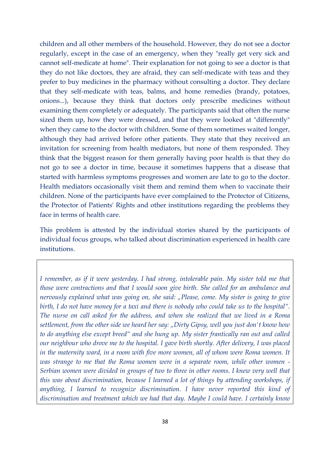children and all other members of the household. However, they do not see a doctor regularly, except in the case of an emergency, when they "really get very sick and cannot self-medicate at home". Their explanation for not going to see a doctor is that they do not like doctors, they are afraid, they can self-medicate with teas and they prefer to buy medicines in the pharmacy without consulting a doctor. They declare that they self-medicate with teas, balms, and home remedies (brandy, potatoes, onions...), because they think that doctors only prescribe medicines without examining them completely or adequately. The participants said that often the nurse sized them up, how they were dressed, and that they were looked at "differently" when they came to the doctor with children. Some of them sometimes waited longer, although they had arrived before other patients. They state that they received an invitation for screening from health mediators, but none of them responded. They think that the biggest reason for them generally having poor health is that they do not go to see a doctor in time, because it sometimes happens that a disease that started with harmless symptoms progresses and women are late to go to the doctor. Health mediators occasionally visit them and remind them when to vaccinate their children. None of the participants have ever complained to the Protector of Citizens, the Protector of Patients' Rights and other institutions regarding the problems they face in terms of health care.

This problem is attested by the individual stories shared by the participants of individual focus groups, who talked about discrimination experienced in health care institutions.

*I remember, as if it were yesterday. I had strong, intolerable pain. My sister told me that those were contractions and that I would soon give birth. She called for an ambulance and nervously explained what was going on, she said: "Please, come. My sister is going to give birth, I do not have money for a taxi and there is nobody who could take us to the hospital". The nurse on call asked for the address, and when she realized that we lived in a Roma settlement, from the other side we heard her say: "Dirty Gipsy, well you just don't know how to do anything else except breed" and she hung up. My sister frantically ran out and called our neighbour who drove me to the hospital. I gave birth shortly. After delivery, I was placed in the maternity ward, in a room with five more women, all of whom were Roma women. It was strange to me that the Roma women were in a separate room, while other women - Serbian women were divided in groups of two to three in other rooms. I knew very well that this was about discrimination, because I learned a lot of things by attending workshops, if anything, I learned to recognize discrimination. I have never reported this kind of discrimination and treatment which we had that day. Maybe I could have. I certainly know*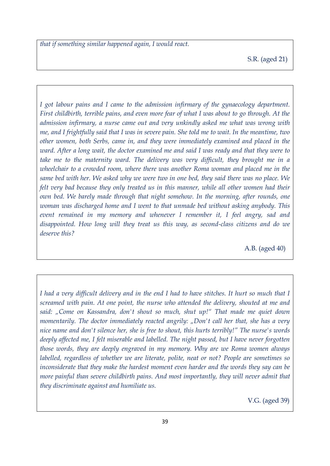*that if something similar happened again, I would react.*

S.R. (aged 21)

*I got labour pains and I came to the admission infirmary of the gynaecology department. First childbirth, terrible pains, and even more fear of what I was about to go through. At the admission infirmary, a nurse came out and very unkindly asked me what was wrong with me, and I frightfully said that I was in severe pain. She told me to wait. In the meantime, two other women, both Serbs, came in, and they were immediately examined and placed in the ward. After a long wait, the doctor examined me and said I was ready and that they were to take me to the maternity ward. The delivery was very difficult, they brought me in a wheelchair to a crowded room, where there was another Roma woman and placed me in the same bed with her. We asked why we were two in one bed, they said there was no place. We felt very bad because they only treated us in this manner, while all other women had their own bed. We barely made through that night somehow. In the morning, after rounds, one woman was discharged home and I went to that unmade bed without asking anybody. This event remained in my memory and whenever I remember it, I feel angry, sad and disappointed. How long will they treat us this way, as second-class citizens and do we deserve this?*

A.B. (aged 40)

*I had a very difficult delivery and in the end I had to have stitches. It hurt so much that I screamed with pain. At one point, the nurse who attended the delivery, shouted at me and said: "Come on Kassandra, don't shout so much, shut up!" That made me quiet down momentarily. The doctor immediately reacted angrily: "Don't call her that, she has a very nice name and don't silence her, she is free to shout, this hurts terribly!" The nurse's words deeply affected me, I felt miserable and labelled. The night passed, but I have never forgotten those words, they are deeply engraved in my memory. Why are we Roma women always labelled, regardless of whether we are literate, polite, neat or not? People are sometimes so inconsiderate that they make the hardest moment even harder and the words they say can be more painful than severe childbirth pains. And most importantly, they will never admit that they discriminate against and humiliate us.*

V.G. (aged 39)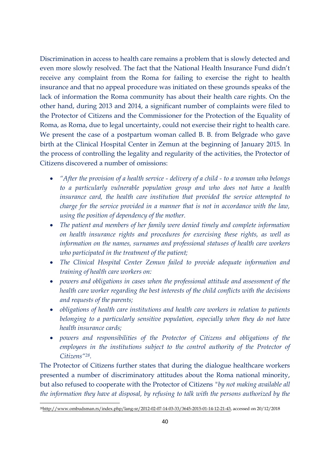Discrimination in access to health care remains a problem that is slowly detected and even more slowly resolved. The fact that the National Health Insurance Fund didn't receive any complaint from the Roma for failing to exercise the right to health insurance and that no appeal procedure was initiated on these grounds speaks of the lack of information the Roma community has about their health care rights. On the other hand, during 2013 and 2014, a significant number of complaints were filed to the Protector of Citizens and the Commissioner for the Protection of the Equality of Roma, as Roma, due to legal uncertainty, could not exercise their right to health care. We present the case of a postpartum woman called B. B. from Belgrade who gave birth at the Clinical Hospital Center in Zemun at the beginning of January 2015. In the process of controlling the legality and regularity of the activities, the Protector of Citizens discovered a number of omissions:

- *"After the provision of a health service - delivery of a child - to a woman who belongs to a particularly vulnerable population group and who does not have a health insurance card, the health care institution that provided the service attempted to charge for the service provided in a manner that is not in accordance with the law, using the position of dependency of the mother.*
- *The patient and members of her family were denied timely and complete information on health insurance rights and procedures for exercising these rights, as well as information on the names, surnames and professional statuses of health care workers who participated in the treatment of the patient;*
- *The Clinical Hospital Center Zemun failed to provide adequate information and training of health care workers on:*
- *powers and obligations in cases when the professional attitude and assessment of the health care worker regarding the best interests of the child conflicts with the decisions and requests of the parents;*
- *obligations of health care institutions and health care workers in relation to patients belonging to a particularly sensitive population, especially when they do not have health insurance cards;*
- *powers and responsibilities of the Protector of Citizens and obligations of the employees in the institutions subject to the control authority of the Protector of Citizens"28.*

The Protector of Citizens further states that during the dialogue healthcare workers presented a number of discriminatory attitudes about the Roma national minority, but also refused to cooperate with the Protector of Citizens *"by not making available all the information they have at disposal, by refusing to talk with the persons authorized by the* 

1

<sup>28</sup>[http://www.ombudsman.rs/index.php/lang-sr/2012-02-07-14-03-33/3645-2015-01-14-12-21-43,](http://www.ombudsman.rs/index.php/lang-sr/2012-02-07-14-03-33/3645-2015-01-14-12-21-43) accessed on 20/12/2018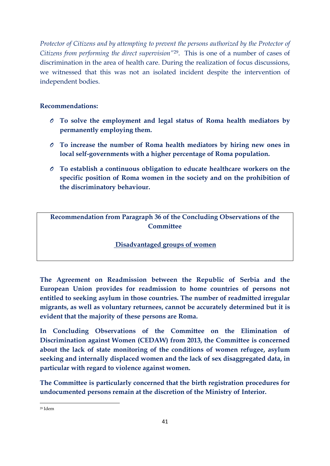*Protector of Citizens and by attempting to prevent the persons authorized by the Protector of Citizens from performing the direct supervision"*29. This is one of a number of cases of discrimination in the area of health care. During the realization of focus discussions, we witnessed that this was not an isolated incident despite the intervention of independent bodies.

# **Recommendations:**

- *O* **To solve the employment and legal status of Roma health mediators by permanently employing them.**
- *O* **To increase the number of Roma health mediators by hiring new ones in local self-governments with a higher percentage of Roma population.**
- *O* **To establish a continuous obligation to educate healthcare workers on the specific position of Roma women in the society and on the prohibition of the discriminatory behaviour.**

**Recommendation from Paragraph 36 of the Concluding Observations of the Committee**

# **Disadvantaged groups of women**

**The Agreement on Readmission between the Republic of Serbia and the European Union provides for readmission to home countries of persons not entitled to seeking asylum in those countries. The number of readmitted irregular migrants, as well as voluntary returnees, cannot be accurately determined but it is evident that the majority of these persons are Roma.** 

**In Concluding Observations of the Committee on the Elimination of Discrimination against Women (CEDAW) from 2013, the Committee is concerned about the lack of state monitoring of the conditions of women refugee, asylum seeking and internally displaced women and the lack of sex disaggregated data, in particular with regard to violence against women.**

**The Committee is particularly concerned that the birth registration procedures for undocumented persons remain at the discretion of the Ministry of Interior.** 

<sup>1</sup> <sup>29</sup> Idem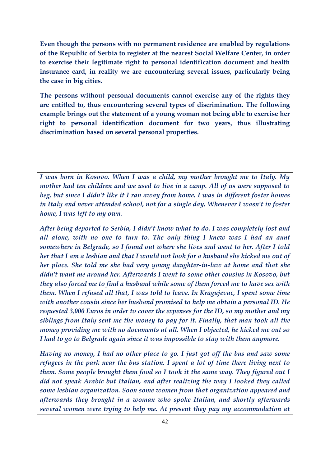**Even though the persons with no permanent residence are enabled by regulations of the Republic of Serbia to register at the nearest Social Welfare Center, in order to exercise their legitimate right to personal identification document and health insurance card, in reality we are encountering several issues, particularly being the case in big cities.** 

**The persons without personal documents cannot exercise any of the rights they are entitled to, thus encountering several types of discrimination. The following example brings out the statement of a young woman not being able to exercise her right to personal identification document for two years, thus illustrating discrimination based on several personal properties.** 

*I was born in Kosovo. When I was a child, my mother brought me to Italy. My mother had ten children and we used to live in a camp. All of us were supposed to beg, but since I didn't like it I ran away from home. I was in different foster homes in Italy and never attended school, not for a single day. Whenever I wasn't in foster home, I was left to my own.*

*After being deported to Serbia, I didn't know what to do. I was completely lost and all alone, with no one to turn to. The only thing I knew was I had an aunt somewhere in Belgrade, so I found out where she lives and went to her. After I told her that I am a lesbian and that I would not look for a husband she kicked me out of her place. She told me she had very young daughter-in-law at home and that she didn't want me around her. Afterwards I went to some other cousins in Kosovo, but they also forced me to find a husband while some of them forced me to have sex with them. When I refused all that, I was told to leave. In Kragujevac, I spent some time with another cousin since her husband promised to help me obtain a personal ID. He requested 3,000 Euros in order to cover the expenses for the ID, so my mother and my siblings from Italy sent me the money to pay for it. Finally, that man took all the money providing me with no documents at all. When I objected, he kicked me out so I had to go to Belgrade again since it was impossible to stay with them anymore.* 

*Having no money, I had no other place to go. I just got off the bus and saw some refugees in the park near the bus station. I spent a lot of time there living next to them. Some people brought them food so I took it the same way. They figured out I did not speak Arabic but Italian, and after realizing the way I looked they called some lesbian organization. Soon some women from that organization appeared and afterwards they brought in a woman who spoke Italian, and shortly afterwards several women were trying to help me. At present they pay my accommodation at*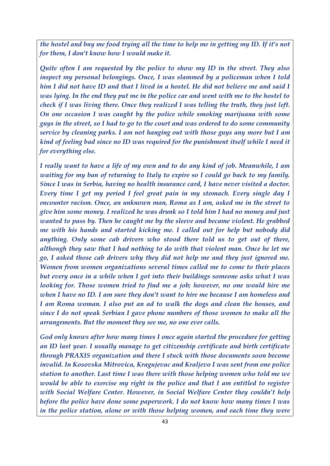*the hostel and buy me food trying all the time to help me in getting my ID. If it's not for them, I don't know how I would make it.*

*Quite often I am requested by the police to show my ID in the street. They also inspect my personal belongings. Once, I was slammed by a policeman when I told him I did not have ID and that I lived in a hostel. He did not believe me and said I was lying. In the end they put me in the police car and went with me to the hostel to check if I was living there. Once they realized I was telling the truth, they just left. On one occasion I was caught by the police while smoking marijuana with some guys in the street, so I had to go to the court and was ordered to do some community service by cleaning parks. I am not hanging out with those guys any more but I am kind of feeling bad since no ID was required for the punishment itself while I need it for everything else.*

*I really want to have a life of my own and to do any kind of job. Meanwhile, I am waiting for my ban of returning to Italy to expire so I could go back to my family. Since I was in Serbia, having no health insurance card, I have never visited a doctor. Every time I get my period I feel great pain in my stomach. Every single day I encounter racism. Once, an unknown man, Roma as I am, asked me in the street to give him some money. I realized he was drunk so I told him I had no money and just wanted to pass by. Then he caught me by the sleeve and became violent. He grabbed me with his hands and started kicking me. I called out for help but nobody did anything. Only some cab drivers who stood there told us to get out of there, although they saw that I had nothing to do with that violent man. Once he let me go, I asked those cab drivers why they did not help me and they just ignored me. Women from women organizations several times called me to come to their places but every once in a while when I got into their buildings someone asks what I was looking for. Those women tried to find me a job; however, no one would hire me when I have no ID. I am sure they don't want to hire me because I am homeless and I am Roma woman. I also put an ad to walk the dogs and clean the houses, and since I do not speak Serbian I gave phone numbers of those women to make all the arrangements. But the moment they see me, no one ever calls.*

*God only knows after how many times I once again started the procedure for getting an ID last year. I usually manage to get citizenship certificate and birth certificate through PRAXIS organization and there I stuck with those documents soon become invalid. In Kosovska Mitrovica, Kragujevac and Kraljevo I was sent from one police station to another. Last time I was there with those helping women who told me we would be able to exercise my right in the police and that I am entitled to register with Social Welfare Center. However, in Social Welfare Center they couldn't help before the police have done some paperwork. I do not know how many times I was in the police station, alone or with those helping women, and each time they were*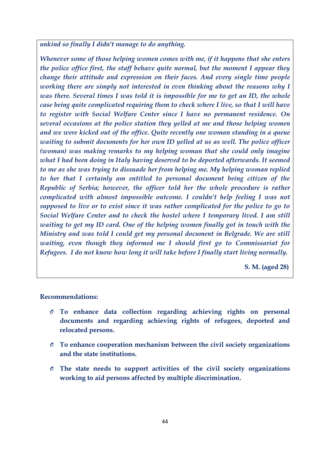*unkind so finally I didn't manage to do anything.*

*Whenever some of those helping women comes with me, if it happens that she enters the police office first, the staff behave quite normal, but the moment I appear they change their attitude and expression on their faces. And every single time people working there are simply not interested in even thinking about the reasons why I was there. Several times I was told it is impossible for me to get an ID, the whole case being quite complicated requiring them to check where I live, so that I will have to register with Social Welfare Center since I have no permanent residence. On several occasions at the police station they yelled at me and those helping women and we were kicked out of the office. Quite recently one woman standing in a queue waiting to submit documents for her own ID yelled at us as well. The police officer (woman) was making remarks to my helping woman that she could only imagine what I had been doing in Italy having deserved to be deported afterwards. It seemed to me as she was trying to dissuade her from helping me. My helping woman replied to her that I certainly am entitled to personal document being citizen of the Republic of Serbia; however, the officer told her the whole procedure is rather complicated with almost impossible outcome. I couldn't help feeling I was not supposed to live or to exist since it was rather complicated for the police to go to Social Welfare Center and to check the hostel where I temporary lived. I am still waiting to get my ID card. One of the helping women finally got in touch with the Ministry and was told I could get my personal document in Belgrade. We are still waiting, even though they informed me I should first go to Commissariat for Refugees. I do not know how long it will take before I finally start living normally.*

 **S. M. (aged 28)**

#### **Recommendations:**

- *O* **To enhance data collection regarding achieving rights on personal documents and regarding achieving rights of refugees, deported and relocated persons.**
- *O* **To enhance cooperation mechanism between the civil society organizations and the state institutions.**
- *O* **The state needs to support activities of the civil society organizations working to aid persons affected by multiple discrimination.**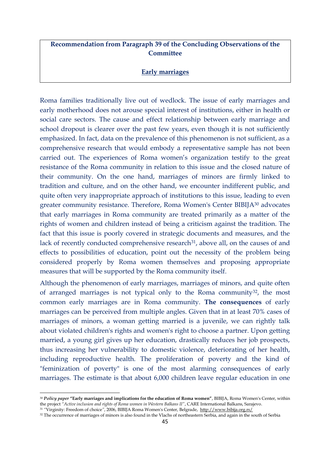# **Recommendation from Paragraph 39 of the Concluding Observations of the Committee**

## **Early marriages**

Roma families traditionally live out of wedlock. The issue of early marriages and early motherhood does not arouse special interest of institutions, either in health or social care sectors. The cause and effect relationship between early marriage and school dropout is clearer over the past few years, even though it is not sufficiently emphasized. In fact, data on the prevalence of this phenomenon is not sufficient, as a comprehensive research that would embody a representative sample has not been carried out. The experiences of Roma women's organization testify to the great resistance of the Roma community in relation to this issue and the closed nature of their community. On the one hand, marriages of minors are firmly linked to tradition and culture, and on the other hand, we encounter indifferent public, and quite often very inappropriate approach of institutions to this issue, leading to even greater community resistance. Therefore, Roma Women's Center BIBIJA<sup>30</sup> advocates that early marriages in Roma community are treated primarily as a matter of the rights of women and children instead of being a criticism against the tradition. The fact that this issue is poorly covered in strategic documents and measures, and the lack of recently conducted comprehensive research<sup>31</sup>, above all, on the causes of and effects to possibilities of education, point out the necessity of the problem being considered properly by Roma women themselves and proposing appropriate measures that will be supported by the Roma community itself.

Although the phenomenon of early marriages, marriages of minors, and quite often of arranged marriages is not typical only to the Roma community<sup>32</sup>, the most common early marriages are in Roma community. **The consequences** of early marriages can be perceived from multiple angles. Given that in at least 70% cases of marriages of minors, a woman getting married is a juvenile, we can rightly talk about violated children's rights and women's right to choose a partner. Upon getting married, a young girl gives up her education, drastically reduces her job prospects, thus increasing her vulnerability to domestic violence, deteriorating of her health, including reproductive health. The proliferation of poverty and the kind of "feminization of poverty" is one of the most alarming consequences of early marriages. The estimate is that about 6,000 children leave regular education in one

**.** 

<sup>30</sup> *Policy paper* **"Early marriages and implications for the education of Roma women"**, BIBIJA, Roma Women's Center, within the project *"Active inclusion and rights of Roma women in Western Balkans II"*, CARE International Balkans, Sarajevo.

<sup>31</sup> *"*Virginity: Freedom of choice*"*, 2006, BIBIJA Roma Women's Center, Belgrade, <http://www.bibija.org.rs/>

<sup>32</sup> The occurrence of marriages of minors is also found in the Vlachs of northeastern Serbia, and again in the south of Serbia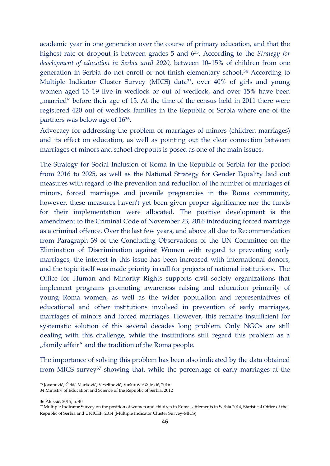academic year in one generation over the course of primary education, and that the highest rate of dropout is between grades 5 and 633. According to the *Strategy for development of education in Serbia until 2020,* between 10–15% of children from one generation in Serbia do not enroll or not finish elementary school.<sup>34</sup> According to Multiple Indicator Cluster Survey (MICS) data<sup>35</sup>, over 40% of girls and young women aged 15–19 live in wedlock or out of wedlock, and over 15% have been ", married" before their age of 15. At the time of the census held in 2011 there were registered 420 out of wedlock families in the Republic of Serbia where one of the partners was below age of 1636.

Advocacy for addressing the problem of marriages of minors (children marriages) and its effect on education, as well as pointing out the clear connection between marriages of minors and school dropouts is posed as one of the main issues.

The Strategy for Social Inclusion of Roma in the Republic of Serbia for the period from 2016 to 2025, as well as the National Strategy for Gender Equality laid out measures with regard to the prevention and reduction of the number of marriages of minors, forced marriages and juvenile pregnancies in the Roma community, however, these measures haven't yet been given proper significance nor the funds for their implementation were allocated. The positive development is the amendment to the Criminal Code of November 23, 2016 introducing forced marriage as a criminal offence. Over the last few years, and above all due to Recommendation from Paragraph 39 of the Concluding Observations of the UN Committee on the Elimination of Discrimination against Women with regard to preventing early marriages, the interest in this issue has been increased with international donors, and the topic itself was made priority in call for projects of national institutions. The Office for Human and Minority Rights supports civil society organizations that implement programs promoting awareness raising and education primarily of young Roma women, as well as the wider population and representatives of educational and other institutions involved in prevention of early marriages, marriages of minors and forced marriages. However, this remains insufficient for systematic solution of this several decades long problem. Only NGOs are still dealing with this challenge, while the institutions still regard this problem as a "family affair" and the tradition of the Roma people.

The importance of solving this problem has been also indicated by the data obtained from MICS survey<sup>37</sup> showing that, while the percentage of early marriages at the

<sup>33</sup> Jovanović, Čekić Marković, Veselinović, Vušurović & Jokić, 2016

<sup>34</sup> Ministry of Education and Science of the Republic of Serbia, 2012

<sup>36</sup> Aleksić, 2015, p. 40

<sup>37</sup> Multiple Indicator Survey on the position of women and children in Roma settlements in Serbia 2014, Statistical Office of the Republic of Serbia and UNICEF, 2014 (Multiple Indicator Cluster Survey-MICS)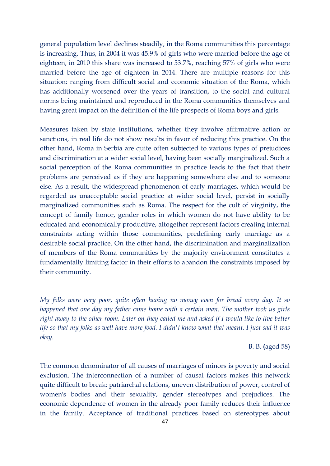general population level declines steadily, in the Roma communities this percentage is increasing. Thus, in 2004 it was 45.9% of girls who were married before the age of eighteen, in 2010 this share was increased to 53.7%, reaching 57% of girls who were married before the age of eighteen in 2014. There are multiple reasons for this situation: ranging from difficult social and economic situation of the Roma, which has additionally worsened over the years of transition, to the social and cultural norms being maintained and reproduced in the Roma communities themselves and having great impact on the definition of the life prospects of Roma boys and girls.

Measures taken by state institutions, whether they involve affirmative action or sanctions, in real life do not show results in favor of reducing this practice. On the other hand, Roma in Serbia are quite often subjected to various types of prejudices and discrimination at a wider social level, having been socially marginalized. Such a social perception of the Roma communities in practice leads to the fact that their problems are perceived as if they are happening somewhere else and to someone else. As a result, the widespread phenomenon of early marriages, which would be regarded as unacceptable social practice at wider social level, persist in socially marginalized communities such as Roma. The respect for the cult of virginity, the concept of family honor, gender roles in which women do not have ability to be educated and economically productive, altogether represent factors creating internal constraints acting within those communities, predefining early marriage as a desirable social practice. On the other hand, the discrimination and marginalization of members of the Roma communities by the majority environment constitutes a fundamentally limiting factor in their efforts to abandon the constraints imposed by their community.

*My folks were very poor, quite often having no money even for bread every day. It so happened that one day my father came home with a certain man. The mother took us girls right away to the other room. Later on they called me and asked if I would like to live better life so that my folks as well have more food. I didn't know what that meant. I just sad it was okay*.

B. B. **(**aged 58)

The common denominator of all causes of marriages of minors is poverty and social exclusion. The interconnection of a number of causal factors makes this network quite difficult to break: patriarchal relations, uneven distribution of power, control of women's bodies and their sexuality, gender stereotypes and prejudices. The economic dependence of women in the already poor family reduces their influence in the family. Acceptance of traditional practices based on stereotypes about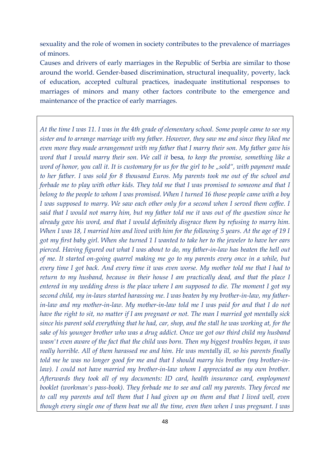sexuality and the role of women in society contributes to the prevalence of marriages of minors.

Causes and drivers of early marriages in the Republic of Serbia are similar to those around the world. Gender-based discrimination, structural inequality, poverty, lack of education, accepted cultural practices, inadequate institutional responses to marriages of minors and many other factors contribute to the emergence and maintenance of the practice of early marriages.

*At the time I was 11. I was in the 4th grade of elementary school. Some people came to see my sister and to arrange marriage with my father. However, they saw me and since they liked me even more they made arrangement with my father that I marry their son. My father gave his word that I would marry their son. We call it* besa*, to keep the promise, something like a word of honor, you call it. It is customary for us for the girl to be "sold", with payment made to her father. I was sold for 8 thousand Euros. My parents took me out of the school and forbade me to play with other kids. They told me that I was promised to someone and that I belong to the people to whom I was promised. When I turned 16 those people came with a boy I was supposed to marry. We saw each other only for a second when I served them coffee. I said that I would not marry him, but my father told me it was out of the question since he already gave his word, and that I would definitely disgrace them by refusing to marry him. When I was 18, I married him and lived with him for the following 5 years. At the age of 19 I got my first baby girl. When she turned 1 I wanted to take her to the jeweler to have her ears pierced. Having figured out what I was about to do, my father-in-law has beaten the hell out of me. It started on-going quarrel making me go to my parents every once in a while, but every time I got back. And every time it was even worse. My mother told me that I had to return to my husband, because in their house I am practically dead, and that the place I entered in my wedding dress is the place where I am supposed to die. The moment I got my second child, my in-laws started harassing me. I was beaten by my brother-in-law, my fatherin-law and my mother-in-law. My mother-in-law told me I was paid for and that I do not have the right to sit, no matter if I am pregnant or not. The man I married got mentally sick since his parent sold everything that he had, car, shop, and the stall he was working at, for the sake of his younger brother who was a drug addict. Once we got our third child my husband wasn't even aware of the fact that the child was born. Then my biggest troubles began, it was really horrible. All of them harassed me and him. He was mentally ill, so his parents finally told me he was no longer good for me and that I should marry his brother (my brother-inlaw). I could not have married my brother-in-law whom I appreciated as my own brother. Afterwards they took all of my documents: ID card, health insurance card, employment booklet (workman's pass-book). They forbade me to see and call my parents. They forced me to call my parents and tell them that I had given up on them and that I lived well, even though every single one of them beat me all the time, even then when I was pregnant. I was*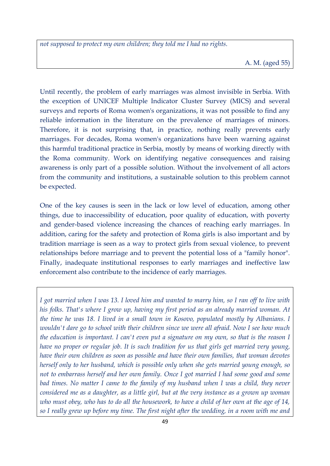*not supposed to protect my own children; they told me I had no rights.*

Until recently, the problem of early marriages was almost invisible in Serbia. With the exception of UNICEF Multiple Indicator Cluster Survey (MICS) and several surveys and reports of Roma women's organizations, it was not possible to find any reliable information in the literature on the prevalence of marriages of minors. Therefore, it is not surprising that, in practice, nothing really prevents early marriages. For decades, Roma women's organizations have been warning against this harmful traditional practice in Serbia, mostly by means of working directly with the Roma community. Work on identifying negative consequences and raising awareness is only part of a possible solution. Without the involvement of all actors from the community and institutions, a sustainable solution to this problem cannot be expected.

One of the key causes is seen in the lack or low level of education, among other things, due to inaccessibility of education, poor quality of education, with poverty and gender-based violence increasing the chances of reaching early marriages. In addition, caring for the safety and protection of Roma girls is also important and by tradition marriage is seen as a way to protect girls from sexual violence, to prevent relationships before marriage and to prevent the potential loss of a "family honor". Finally, inadequate institutional responses to early marriages and ineffective law enforcement also contribute to the incidence of early marriages.

*I got married when I was 13. I loved him and wanted to marry him, so I ran off to live with his folks. That's where I grow up, having my first period as an already married woman. At the time he was 18. I lived in a small town in Kosovo, populated mostly by Albanians. I wouldn't dare go to school with their children since we were all afraid. Now I see how much the education is important. I can't even put a signature on my own, so that is the reason I have no proper or regular job. It is such tradition for us that girls get married very young, have their own children as soon as possible and have their own families, that woman devotes herself only to her husband, which is possible only when she gets married young enough, so not to embarrass herself and her own family. Once I got married I had some good and some bad times. No matter I came to the family of my husband when I was a child, they never considered me as a daughter, as a little girl, but at the very instance as a grown up woman who must obey, who has to do all the housework, to have a child of her own at the age of 14, so I really grew up before my time. The first night after the wedding, in a room with me and*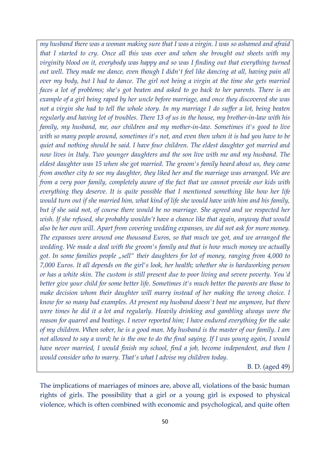*my husband there was a woman making sure that I was a virgin. I was so ashamed and afraid that I started to cry. Once all this was over and when she brought out sheets with my virginity blood on it, everybody was happy and so was I finding out that everything turned out well. They made me dance, even though I didn't feel like dancing at all, having pain all over my body, but I had to dance. The girl not being a virgin at the time she gets married faces a lot of problems; she's got beaten and asked to go back to her parents. There is an example of a girl being raped by her uncle before marriage, and once they discovered she was not a virgin she had to tell the whole story. In my marriage I do suffer a lot, being beaten regularly and having lot of troubles. There 13 of us in the house, my brother-in-law with his family, my husband, me, our children and my mother-in-law. Sometimes it's good to live with so many people around, sometimes it's not, and even then when it is bad you have to be quiet and nothing should be said. I have four children. The eldest daughter got married and now lives in Italy. Two younger daughters and the son live with me and my husband. The eldest daughter was 15 when she got married. The groom's family heard about us, they came from another city to see my daughter, they liked her and the marriage was arranged. We are from a very poor family, completely aware of the fact that we cannot provide our kids with everything they deserve. It is quite possible that I mentioned something like how her life would turn out if she married him, what kind of life she would have with him and his family, but if she said not, of course there would be no marriage. She agreed and we respected her wish. If she refused, she probably wouldn't have a chance like that again, anyway that would also be her own will. Apart from covering wedding expanses, we did not ask for more money. The expanses were around one thousand Euros, so that much we got, and we arranged the wedding. We made a deal with the groom's family and that is how much money we actually got. In some families people "sell" their daughters for lot of money, ranging from 4,000 to 7,000 Euros. It all depends on the girl's look, her health; whether she is hardworking person or has a white skin. The custom is still present due to poor living and severe poverty. You'd better give your child for some better life. Sometimes it's much better the parents are those to make decision whom their daughter will marry instead of her making the wrong choice. I know for so many bad examples. At present my husband doesn't beat me anymore, but there were times he did it a lot and regularly. Heavily drinking and gambling always were the reason for quarrel and beatings. I never reported him; I have endured everything for the sake of my children. When sober, he is a good man. My husband is the master of our family. I am not allowed to say a word; he is the one to do the final saying. If I was young again, I would have never married, I would finish my school, find a job, become independent, and then I would consider who to marry. That's what I advise my children today.*

B. D. (aged 49)

The implications of marriages of minors are, above all, violations of the basic human rights of girls. The possibility that a girl or a young girl is exposed to physical violence, which is often combined with economic and psychological, and quite often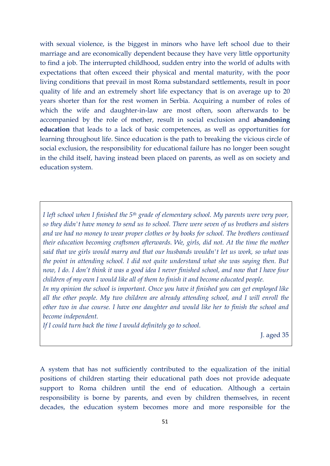with sexual violence, is the biggest in minors who have left school due to their marriage and are economically dependent because they have very little opportunity to find a job. The interrupted childhood, sudden entry into the world of adults with expectations that often exceed their physical and mental maturity, with the poor living conditions that prevail in most Roma substandard settlements, result in poor quality of life and an extremely short life expectancy that is on average up to 20 years shorter than for the rest women in Serbia. Acquiring a number of roles of which the wife and daughter-in-law are most often, soon afterwards to be accompanied by the role of mother, result in social exclusion and **abandoning education** that leads to a lack of basic competences, as well as opportunities for learning throughout life. Since education is the path to breaking the vicious circle of social exclusion, the responsibility for educational failure has no longer been sought in the child itself, having instead been placed on parents, as well as on society and education system.

*I left school when I finished the 5th grade of elementary school. My parents were very poor, so they didn't have money to send us to school. There were seven of us brothers and sisters and we had no money to wear proper clothes or by books for school. The brothers continued their education becoming craftsmen afterwards. We, girls, did not. At the time the mother said that we girls would marry and that our husbands wouldn't let us work, so what was the point in attending school. I did not quite understand what she was saying then. But now, I do. I don't think it was a good idea I never finished school, and now that I have four children of my own I would like all of them to finish it and become educated people.* 

*In my opinion the school is important. Once you have it finished you can get employed like all the other people. My two children are already attending school, and I will enroll the other two in due course. I have one daughter and would like her to finish the school and become independent.* 

*If I could turn back the time I would definitely go to school.*

J. aged 35

A system that has not sufficiently contributed to the equalization of the initial positions of children starting their educational path does not provide adequate support to Roma children until the end of education. Although a certain responsibility is borne by parents, and even by children themselves, in recent decades, the education system becomes more and more responsible for the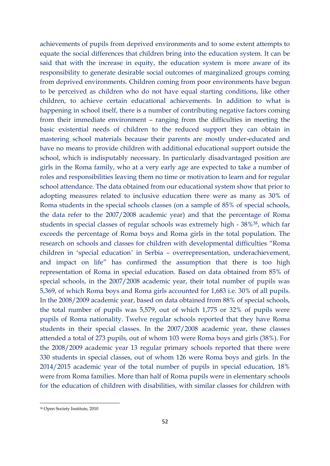achievements of pupils from deprived environments and to some extent attempts to equate the social differences that children bring into the education system. It can be said that with the increase in equity, the education system is more aware of its responsibility to generate desirable social outcomes of marginalized groups coming from deprived environments. Children coming from poor environments have begun to be perceived as children who do not have equal starting conditions, like other children, to achieve certain educational achievements. In addition to what is happening in school itself, there is a number of contributing negative factors coming from their immediate environment – ranging from the difficulties in meeting the basic existential needs of children to the reduced support they can obtain in mastering school materials because their parents are mostly under-educated and have no means to provide children with additional educational support outside the school, which is indisputably necessary. In particularly disadvantaged position are girls in the Roma family, who at a very early age are expected to take a number of roles and responsibilities leaving them no time or motivation to learn and for regular school attendance. The data obtained from our educational system show that prior to adopting measures related to inclusive education there were as many as 30% of Roma students in the special schools classes (on a sample of 85% of special schools, the data refer to the 2007/2008 academic year) and that the percentage of Roma students in special classes of regular schools was extremely high - 38%38, which far exceeds the percentage of Roma boys and Roma girls in the total population. The research on schools and classes for children with developmental difficulties "Roma children in 'special education' in Serbia – overrepresentation, underachievement, and impact on life" has confirmed the assumption that there is too high representation of Roma in special education. Based on data obtained from 85% of special schools, in the 2007/2008 academic year, their total number of pupils was 5,369, of which Roma boys and Roma girls accounted for 1,683 i.e. 30% of all pupils. In the 2008/2009 academic year, based on data obtained from 88% of special schools, the total number of pupils was 5,579, out of which 1,775 or 32% of pupils were pupils of Roma nationality. Twelve regular schools reported that they have Roma students in their special classes. In the 2007/2008 academic year, these classes attended a total of 273 pupils, out of whom 103 were Roma boys and girls (38%). For the 2008/2009 academic year 13 regular primary schools reported that there were 330 students in special classes, out of whom 126 were Roma boys and girls. In the 2014/2015 academic year of the total number of pupils in special education, 18% were from Roma families. More than half of Roma pupils were in elementary schools for the education of children with disabilities, with similar classes for children with

1

<sup>38</sup> Open Society Institute, 2010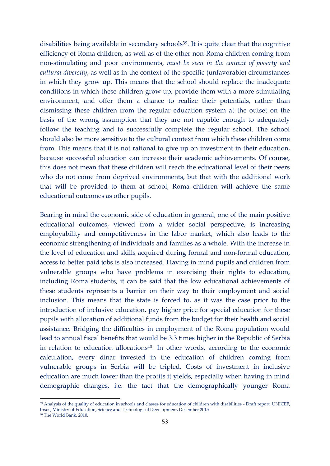disabilities being available in secondary schools<sup>39</sup>. It is quite clear that the cognitive efficiency of Roma children, as well as of the other non-Roma children coming from non-stimulating and poor environments, *must be seen in the context of poverty and cultural diversity*, as well as in the context of the specific (unfavorable) circumstances in which they grow up. This means that the school should replace the inadequate conditions in which these children grow up, provide them with a more stimulating environment, and offer them a chance to realize their potentials, rather than dismissing these children from the regular education system at the outset on the basis of the wrong assumption that they are not capable enough to adequately follow the teaching and to successfully complete the regular school. The school should also be more sensitive to the cultural context from which these children come from. This means that it is not rational to give up on investment in their education, because successful education can increase their academic achievements. Of course, this does not mean that these children will reach the educational level of their peers who do not come from deprived environments, but that with the additional work that will be provided to them at school, Roma children will achieve the same educational outcomes as other pupils.

Bearing in mind the economic side of education in general, one of the main positive educational outcomes, viewed from a wider social perspective, is increasing employability and competitiveness in the labor market, which also leads to the economic strengthening of individuals and families as a whole. With the increase in the level of education and skills acquired during formal and non-formal education, access to better paid jobs is also increased. Having in mind pupils and children from vulnerable groups who have problems in exercising their rights to education, including Roma students, it can be said that the low educational achievements of these students represents a barrier on their way to their employment and social inclusion. This means that the state is forced to, as it was the case prior to the introduction of inclusive education, pay higher price for special education for these pupils with allocation of additional funds from the budget for their health and social assistance. Bridging the difficulties in employment of the Roma population would lead to annual fiscal benefits that would be 3.3 times higher in the Republic of Serbia in relation to education allocations $40$ . In other words, according to the economic calculation, every dinar invested in the education of children coming from vulnerable groups in Serbia will be tripled. Costs of investment in inclusive education are much lower than the profits it yields, especially when having in mind demographic changes, i.e. the fact that the demographically younger Roma

**.** 

<sup>39</sup> Analysis of the quality of education in schools and classes for education of children with disabilities - Draft report, UNICEF, Ipsos, Ministry of Education, Science and Technological Development, December 2015 <sup>40</sup> The World Bank, 2010.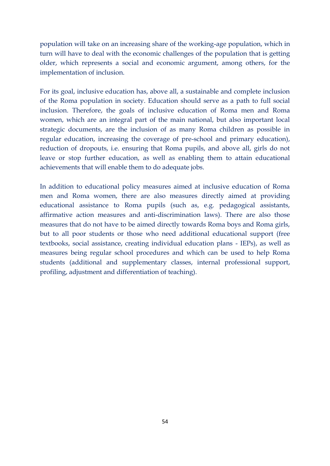population will take on an increasing share of the working-age population, which in turn will have to deal with the economic challenges of the population that is getting older, which represents a social and economic argument, among others, for the implementation of inclusion.

For its goal, inclusive education has, above all, a sustainable and complete inclusion of the Roma population in society. Education should serve as a path to full social inclusion. Therefore, the goals of inclusive education of Roma men and Roma women, which are an integral part of the main national, but also important local strategic documents, are the inclusion of as many Roma children as possible in regular education, increasing the coverage of pre-school and primary education), reduction of dropouts, i.e. ensuring that Roma pupils, and above all, girls do not leave or stop further education, as well as enabling them to attain educational achievements that will enable them to do adequate jobs.

In addition to educational policy measures aimed at inclusive education of Roma men and Roma women, there are also measures directly aimed at providing educational assistance to Roma pupils (such as, e.g. pedagogical assistants, affirmative action measures and anti-discrimination laws). There are also those measures that do not have to be aimed directly towards Roma boys and Roma girls, but to all poor students or those who need additional educational support (free textbooks, social assistance, creating individual education plans - IEPs), as well as measures being regular school procedures and which can be used to help Roma students (additional and supplementary classes, internal professional support, profiling, adjustment and differentiation of teaching).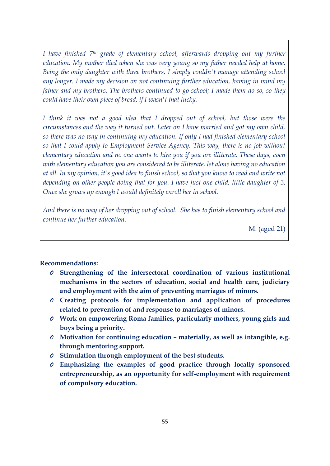*I have finished 7th grade of elementary school, afterwards dropping out my further education. My mother died when she was very young so my father needed help at home. Being the only daughter with three brothers, I simply couldn't manage attending school any longer. I made my decision on not continuing further education, having in mind my father and my brothers. The brothers continued to go school; I made them do so, so they could have their own piece of bread, if I wasn't that lucky.*

*I think it was not a good idea that I dropped out of school, but those were the circumstances and the way it turned out. Later on I have married and got my own child, so there was no way in continuing my education. If only I had finished elementary school so that I could apply to Employment Service Agency. This way, there is no job without elementary education and no one wants to hire you if you are illiterate. These days, even with elementary education you are considered to be illiterate, let alone having no education at all. In my opinion, it's good idea to finish school, so that you know to read and write not depending on other people doing that for you. I have just one child, little daughter of 3. Once she grows up enough I would definitely enroll her in school.* 

*And there is no way of her dropping out of school. She has to finish elementary school and continue her further education.*

M. (aged 21)

## **Recommendations:**

- *O* **Strengthening of the intersectoral coordination of various institutional mechanisms in the sectors of education, social and health care, judiciary and employment with the aim of preventing marriages of minors.**
- *O* **Creating protocols for implementation and application of procedures related to prevention of and response to marriages of minors.**
- *O* **Work on empowering Roma families, particularly mothers, young girls and boys being a priority.**
- *O* **Motivation for continuing education – materially, as well as intangible, e.g. through mentoring support.**
- *O* **Stimulation through employment of the best students.**
- *O* **Emphasizing the examples of good practice through locally sponsored entrepreneurship, as an opportunity for self-employment with requirement of compulsory education.**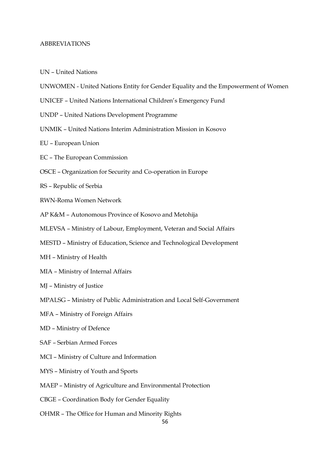#### ABBREVIATIONS

- UN United Nations
- UNWOMEN United Nations Entity for Gender Equality and the Empowerment of Women
- UNICEF United Nations International Children's Emergency Fund
- UNDP United Nations Development Programme
- UNMIK United Nations Interim Administration Mission in Kosovo
- EU European Union
- EC The European Commission
- OSCE Organization for Security and Co-operation in Europe
- RS Republic of Serbia
- RWN-Roma Women Network
- AP K&M Autonomous Province of Kosovo and Metohija
- MLEVSA Ministry of Labour, Employment, Veteran and Social Affairs
- MESTD Ministry of Education, Science and Technological Development
- MH Ministry of Health
- MIA Ministry of Internal Affairs
- MJ Ministry of Justice
- MPALSG Ministry of Public Administration and Local Self-Government
- MFA Ministry of Foreign Affairs
- MD Ministry of Defence
- SAF Serbian Armed Forces
- MCI Ministry of Culture and Information
- MYS Ministry of Youth and Sports
- MAEP Ministry of Agriculture and Environmental Protection
- CBGE Coordination Body for Gender Equality
- OHMR The Office for Human and Minority Rights